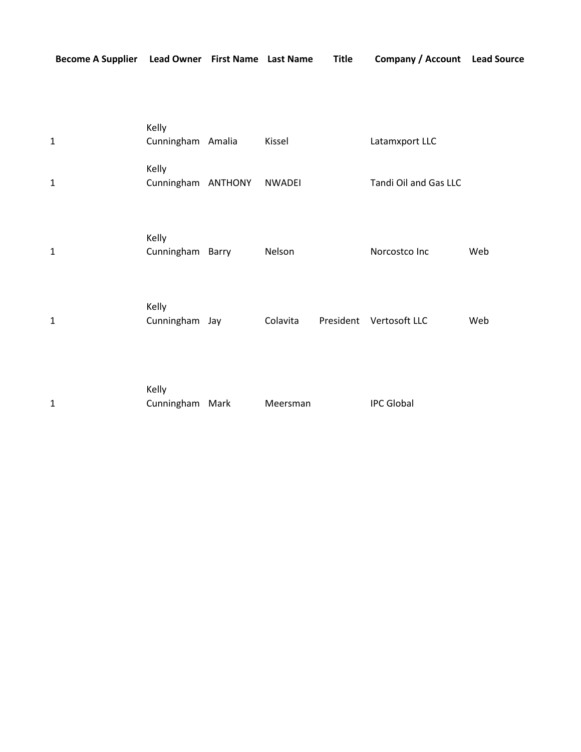|  |  | Become A Supplier Lead Owner First Name Last Name Title Company / Account Lead Source |  |
|--|--|---------------------------------------------------------------------------------------|--|
|  |  |                                                                                       |  |

| $\mathbf{1}$ | Kelly<br>Cunningham Amalia  | Kissel        |           | Latamxport LLC        |     |
|--------------|-----------------------------|---------------|-----------|-----------------------|-----|
| $\mathbf{1}$ | Kelly<br>Cunningham ANTHONY | <b>NWADEI</b> |           | Tandi Oil and Gas LLC |     |
| $\mathbf{1}$ | Kelly<br>Cunningham Barry   | Nelson        |           | Norcostco Inc         | Web |
| $\mathbf{1}$ | Kelly<br>Cunningham Jay     | Colavita      | President | Vertosoft LLC         | Web |
| $\mathbf{1}$ | Kelly<br>Cunningham Mark    | Meersman      |           | <b>IPC Global</b>     |     |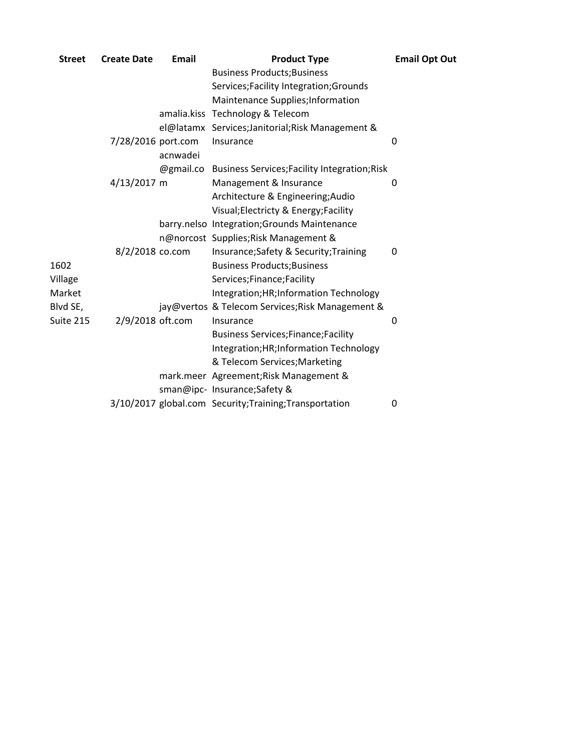| <b>Street</b> | <b>Create Date</b> | Email     | <b>Product Type</b>                                     | <b>Email Opt Out</b> |
|---------------|--------------------|-----------|---------------------------------------------------------|----------------------|
|               |                    |           | <b>Business Products; Business</b>                      |                      |
|               |                    |           | Services; Facility Integration; Grounds                 |                      |
|               |                    |           | Maintenance Supplies; Information                       |                      |
|               |                    |           | amalia.kiss Technology & Telecom                        |                      |
|               |                    |           | el@latamx Services;Janitorial;Risk Management &         |                      |
|               | 7/28/2016 port.com | acnwadei  | Insurance                                               | 0                    |
|               |                    | @gmail.co | <b>Business Services; Facility Integration; Risk</b>    |                      |
|               | 4/13/2017 m        |           | Management & Insurance                                  | 0                    |
|               |                    |           | Architecture & Engineering; Audio                       |                      |
|               |                    |           | Visual; Electricty & Energy; Facility                   |                      |
|               |                    |           | barry.nelso Integration; Grounds Maintenance            |                      |
|               |                    |           | n@norcost Supplies; Risk Management &                   |                      |
|               | 8/2/2018 co.com    |           | Insurance; Safety & Security; Training                  | 0                    |
| 1602          |                    |           | <b>Business Products; Business</b>                      |                      |
| Village       |                    |           | Services;Finance;Facility                               |                      |
| Market        |                    |           | Integration; HR; Information Technology                 |                      |
| Blvd SE,      |                    |           | jay@vertos & Telecom Services; Risk Management &        |                      |
| Suite 215     | 2/9/2018 oft.com   |           | Insurance                                               | 0                    |
|               |                    |           | <b>Business Services; Finance; Facility</b>             |                      |
|               |                    |           | Integration; HR; Information Technology                 |                      |
|               |                    |           | & Telecom Services; Marketing                           |                      |
|               |                    |           | mark.meer Agreement; Risk Management &                  |                      |
|               |                    |           | sman@ipc- Insurance;Safety &                            |                      |
|               |                    |           | 3/10/2017 global.com Security; Training; Transportation | 0                    |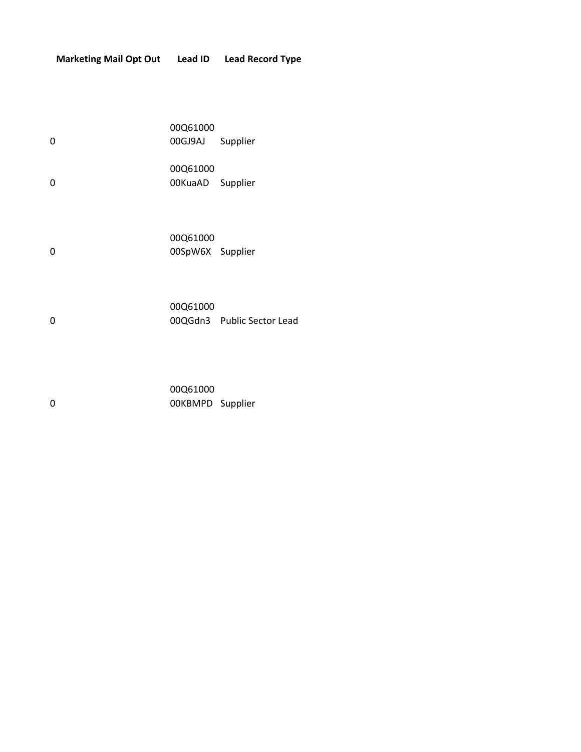| 0 | 00Q61000<br>00GJ9AJ          | Supplier |
|---|------------------------------|----------|
| 0 | 00Q61000<br>00KuaAD Supplier |          |
| 0 | 00Q61000<br>00SpW6X Supplier |          |

0 00Q61000 00QGdn3 Public Sector Lead

0 00Q61000 00KBMPD Supplier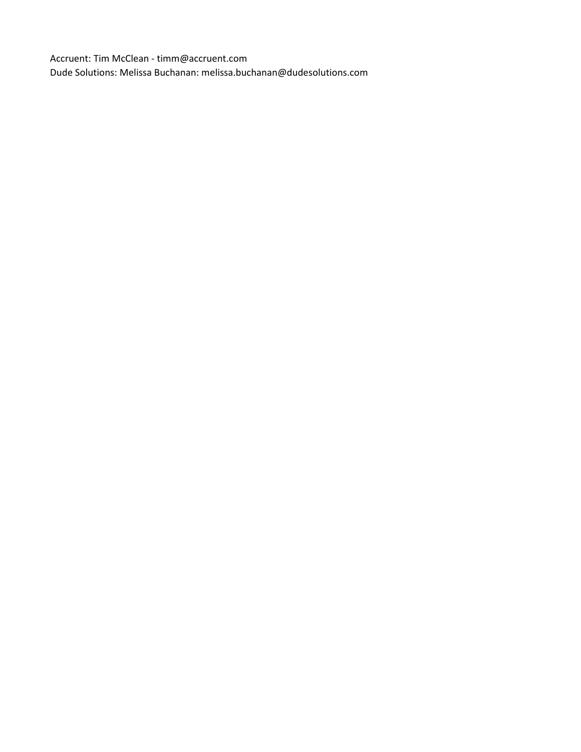Accruent: Tim McClean - timm@accruent.com Dude Solutions: Melissa Buchanan: melissa.buchanan@dudesolutions.com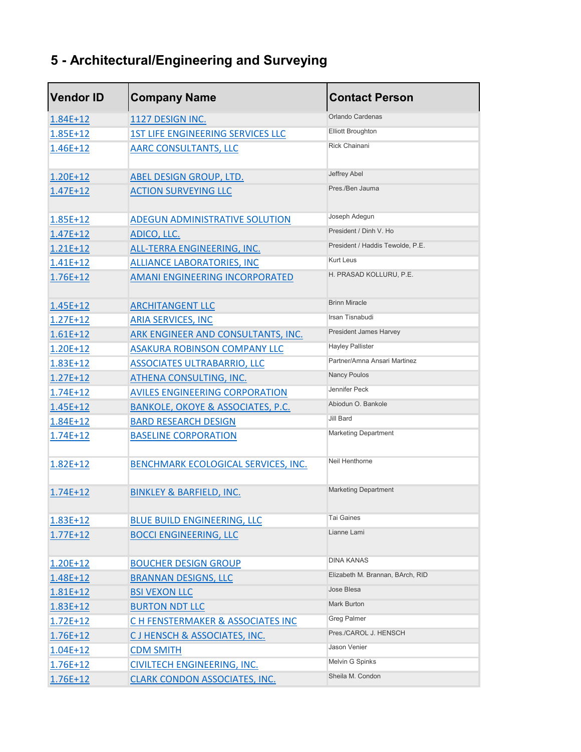## **5 - Architectural/Engineering and Surveying**

| <b>Vendor ID</b> | <b>Company Name</b>                          | <b>Contact Person</b>            |
|------------------|----------------------------------------------|----------------------------------|
| 1.84E+12         | 1127 DESIGN INC.                             | Orlando Cardenas                 |
| $1.85E+12$       | <b>1ST LIFE ENGINEERING SERVICES LLC</b>     | <b>Elliott Broughton</b>         |
| 1.46E+12         | <b>AARC CONSULTANTS, LLC</b>                 | <b>Rick Chainani</b>             |
| 1.20E+12         | <b>ABEL DESIGN GROUP, LTD.</b>               | Jeffrey Abel                     |
| $1.47E + 12$     | <b>ACTION SURVEYING LLC</b>                  | Pres./Ben Jauma                  |
| 1.85E+12         | <b>ADEGUN ADMINISTRATIVE SOLUTION</b>        | Joseph Adegun                    |
| $1.47E + 12$     | ADICO, LLC.                                  | President / Dinh V. Ho           |
| $1.21E+12$       | ALL-TERRA ENGINEERING, INC.                  | President / Haddis Tewolde, P.E. |
| 1.41E+12         | <b>ALLIANCE LABORATORIES, INC</b>            | <b>Kurt Leus</b>                 |
| 1.76E+12         | <b>AMANI ENGINEERING INCORPORATED</b>        | H. PRASAD KOLLURU, P.E.          |
| 1.45E+12         | <b>ARCHITANGENT LLC</b>                      | <b>Brinn Miracle</b>             |
| $1.27E + 12$     | <b>ARIA SERVICES, INC</b>                    | Irsan Tisnabudi                  |
| $1.61E + 12$     | ARK ENGINEER AND CONSULTANTS, INC.           | President James Harvey           |
| $1.20E+12$       | <b>ASAKURA ROBINSON COMPANY LLC</b>          | <b>Hayley Pallister</b>          |
| 1.83E+12         | <b>ASSOCIATES ULTRABARRIO, LLC</b>           | Partner/Amna Ansari Martinez     |
| $1.27E + 12$     | <b>ATHENA CONSULTING, INC.</b>               | <b>Nancy Poulos</b>              |
| $1.74E + 12$     | <b>AVILES ENGINEERING CORPORATION</b>        | Jennifer Peck                    |
| 1.45E+12         | <b>BANKOLE, OKOYE &amp; ASSOCIATES, P.C.</b> | Abiodun O. Bankole               |
| 1.84E+12         | <b>BARD RESEARCH DESIGN</b>                  | Jill Bard                        |
| 1.74E+12         | <b>BASELINE CORPORATION</b>                  | <b>Marketing Department</b>      |
| $1.82E + 12$     | BENCHMARK ECOLOGICAL SERVICES, INC.          | Neil Henthorne                   |
| $1.74E + 12$     | <b>BINKLEY &amp; BARFIELD, INC.</b>          | <b>Marketing Department</b>      |
| 1.83E+12         | <b>BLUE BUILD ENGINEERING, LLC</b>           | Tai Gaines                       |
| $1.77E + 12$     | <b>BOCCI ENGINEERING, LLC</b>                | Lianne Lami                      |
| 1.20E+12         | <b>BOUCHER DESIGN GROUP</b>                  | <b>DINA KANAS</b>                |
| 1.48E+12         | <b>BRANNAN DESIGNS, LLC</b>                  | Elizabeth M. Brannan, BArch, RID |
| 1.81E+12         | <b>BSI VEXON LLC</b>                         | Jose Blesa                       |
| 1.83E+12         | <b>BURTON NDT LLC</b>                        | Mark Burton                      |
| $1.72E+12$       | C H FENSTERMAKER & ASSOCIATES INC            | <b>Greg Palmer</b>               |
| 1.76E+12         | CJ HENSCH & ASSOCIATES, INC.                 | Pres./CAROL J. HENSCH            |
| $1.04E + 12$     | <b>CDM SMITH</b>                             | Jason Venier                     |
| 1.76E+12         | <b>CIVILTECH ENGINEERING, INC.</b>           | Melvin G Spinks                  |
| 1.76E+12         | <b>CLARK CONDON ASSOCIATES, INC.</b>         | Sheila M. Condon                 |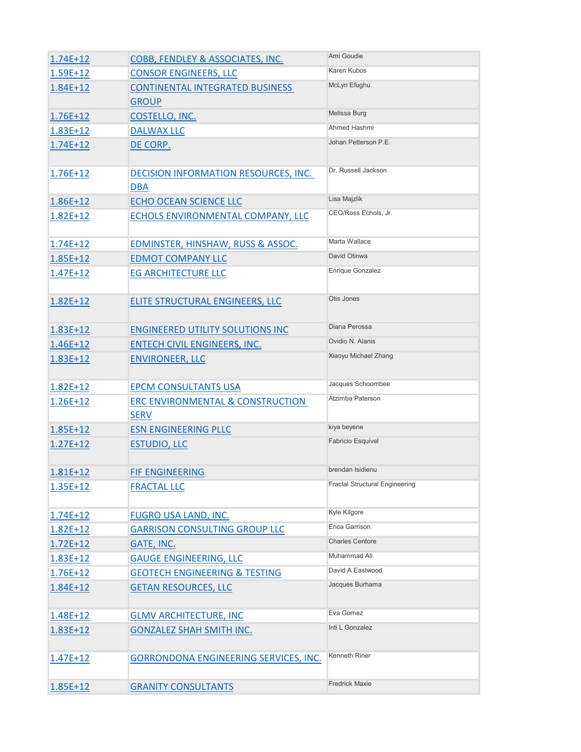| $1.74E + 12$ | COBB, FENDLEY & ASSOCIATES, INC.                           | Ami Goudie                            |
|--------------|------------------------------------------------------------|---------------------------------------|
| 1.59E+12     | <b>CONSOR ENGINEERS, LLC</b>                               | Karen Kubos                           |
| 1.84E+12     | <b>CONTINENTAL INTEGRATED BUSINESS</b>                     | McLyn Efughu                          |
|              | <b>GROUP</b>                                               |                                       |
| $1.76E + 12$ | COSTELLO, INC.                                             | Melissa Burg                          |
| 1.83E+12     | <b>DALWAX LLC</b>                                          | Ahmed Hashmi                          |
| 1.74E+12     | DE CORP.                                                   | Johan Petterson P.E.                  |
| 1.76E+12     | DECISION INFORMATION RESOURCES, INC.<br><b>DBA</b>         | Dr. Russell Jackson                   |
| 1.86E+12     | <b>ECHO OCEAN SCIENCE LLC</b>                              | Lisa Majzlik                          |
| 1.82E+12     | ECHOLS ENVIRONMENTAL COMPANY, LLC                          | CEO/Ross Echols, Jr.                  |
| $1.74E + 12$ | EDMINSTER, HINSHAW, RUSS & ASSOC.                          | Marta Wallace                         |
| $1.85E+12$   | <b>EDMOT COMPANY LLC</b>                                   | David Otinwa                          |
| 1.47E+12     | <b>EG ARCHITECTURE LLC</b>                                 | Enrique Gonzalez                      |
| 1.82E+12     | ELITE STRUCTURAL ENGINEERS, LLC                            | Otis Jones                            |
| 1.83E+12     | <b>ENGINEERED UTILITY SOLUTIONS INC</b>                    | Diana Perossa                         |
| 1.46E+12     | <b>ENTECH CIVIL ENGINEERS, INC.</b>                        | Ovidio N. Alanis                      |
| 1.83E+12     | <b>ENVIRONEER, LLC</b>                                     | Xiaoyu Michael Zhang                  |
| $1.82E + 12$ | <b>EPCM CONSULTANTS USA</b>                                | Jacques Schoombee                     |
| 1.26E+12     | <b>ERC ENVIRONMENTAL &amp; CONSTRUCTION</b><br><b>SERV</b> | Atzimba Paterson                      |
| $1.85E+12$   | <b>ESN ENGINEERING PLLC</b>                                | kiya beyene                           |
| $1.27E + 12$ | <b>ESTUDIO, LLC</b>                                        | Fabricio Esquivel                     |
| 1.81E+12     | <b>FIF ENGINEERING</b>                                     | brendan Isidienu                      |
| 1.35E+12     | <b>FRACTAL LLC</b>                                         | <b>Fractal Structural Engineering</b> |
| $1.74E + 12$ | <b>FUGRO USA LAND, INC.</b>                                | Kyle Kilgore                          |
| $1.82E+12$   | <b>GARRISON CONSULTING GROUP LLC</b>                       | Erica Garrison                        |
| $1.72E + 12$ | GATE, INC.                                                 | <b>Charles Centore</b>                |
| 1.83E+12     | <b>GAUGE ENGINEERING, LLC</b>                              | Muhammad Ali                          |
| 1.76E+12     | <b>GEOTECH ENGINEERING &amp; TESTING</b>                   | David A Eastwood                      |
| 1.84E+12     | <b>GETAN RESOURCES, LLC</b>                                | Jacques Burhama                       |
| 1.48E+12     | <b>GLMV ARCHITECTURE, INC</b>                              | Eva Gomez                             |
| 1.83E+12     | <b>GONZALEZ SHAH SMITH INC.</b>                            | Inti L Gonzalez                       |
| 1.47E+12     | GORRONDONA ENGINEERING SERVICES, INC.                      | Kenneth Riner                         |
| 1.85E+12     | <b>GRANITY CONSULTANTS</b>                                 | <b>Fredrick Maxie</b>                 |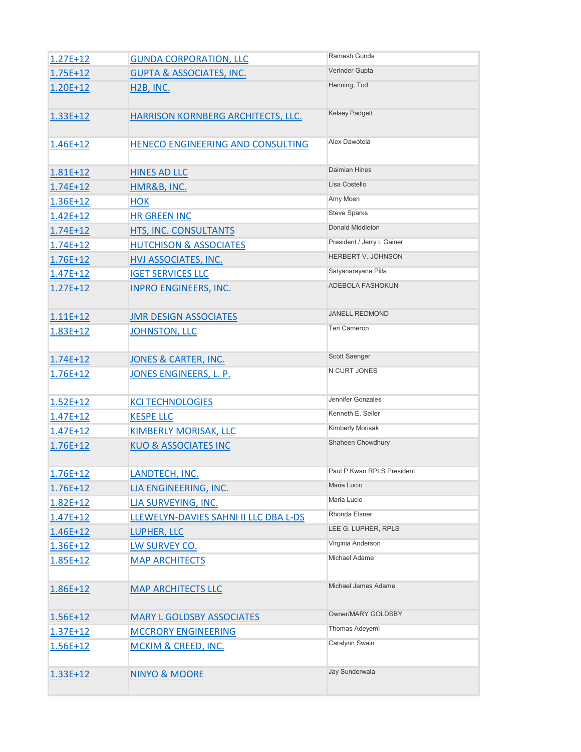| $1.27E + 12$ | <b>GUNDA CORPORATION, LLC</b>         | Ramesh Gunda                |
|--------------|---------------------------------------|-----------------------------|
| 1.75E+12     | <b>GUPTA &amp; ASSOCIATES, INC.</b>   | Verinder Gupta              |
| 1.20E+12     | <b>H2B, INC.</b>                      | Henning, Tod                |
| 1.33E+12     | HARRISON KORNBERG ARCHITECTS, LLC.    | <b>Kelsey Padgett</b>       |
| 1.46E+12     | HENECO ENGINEERING AND CONSULTING     | Alex Dawotola               |
| 1.81E+12     | <b>HINES AD LLC</b>                   | <b>Daimian Hines</b>        |
| $1.74E + 12$ | HMR&B, INC.                           | Lisa Costello               |
| 1.36E+12     | <b>HOK</b>                            | Amy Moen                    |
| $1.42E + 12$ | <b>HR GREEN INC</b>                   | <b>Steve Sparks</b>         |
| $1.74E + 12$ | HTS, INC. CONSULTANTS                 | Donald Middleton            |
| $1.74E + 12$ | <b>HUTCHISON &amp; ASSOCIATES</b>     | President / Jerry I. Gainer |
| 1.76E+12     | <b>HVJ ASSOCIATES, INC.</b>           | <b>HERBERT V. JOHNSON</b>   |
| $1.47E+12$   | <b>IGET SERVICES LLC</b>              | Satyanarayana Pilla         |
| $1.27E + 12$ | <b>INPRO ENGINEERS, INC.</b>          | ADEBOLA FASHOKUN            |
| $1.11E+12$   | <b>JMR DESIGN ASSOCIATES</b>          | <b>JANELL REDMOND</b>       |
| 1.83E+12     | JOHNSTON, LLC                         | <b>Teri Cameron</b>         |
| $1.74E + 12$ | <b>JONES &amp; CARTER, INC.</b>       | Scott Saenger               |
| 1.76E+12     | <u>JONES ENGINEERS, L. P.</u>         | N CURT JONES                |
| $1.52E + 12$ | <b>KCI TECHNOLOGIES</b>               | Jennifer Gonzales           |
| $1.47E + 12$ | <b>KESPE LLC</b>                      | Kenneth E. Seiler           |
| $1.47E + 12$ | <b>KIMBERLY MORISAK, LLC</b>          | Kimberly Morisak            |
| 1.76E+12     | <b>KUO &amp; ASSOCIATES INC</b>       | Shaheen Chowdhury           |
| 1.76E+12     | LANDTECH, INC.                        | Paul P Kwan RPLS President  |
| 1.76E+12     | LJA ENGINEERING, INC.                 | Maria Lucio                 |
| $1.82E + 12$ | LJA SURVEYING, INC.                   | Maria Lucio                 |
| 1.47E+12     | LLEWELYN-DAVIES SAHNI II LLC DBA L-DS | Rhonda Elsner               |
| 1.46E+12     | LUPHER, LLC                           | LEE G. LUPHER, RPLS         |
| 1.36E+12     | LW SURVEY CO.                         | Virginia Anderson           |
| 1.85E+12     | <b>MAP ARCHITECTS</b>                 | Michael Adame               |
| 1.86E+12     | <b>MAP ARCHITECTS LLC</b>             | Michael James Adame         |
| 1.56E+12     | <b>MARY L GOLDSBY ASSOCIATES</b>      | Owner/MARY GOLDSBY          |
| $1.37E + 12$ | <b>MCCRORY ENGINEERING</b>            | Thomas Adeyemi              |
| 1.56E+12     | <b>MCKIM &amp; CREED, INC.</b>        | Caralynn Swain              |
| 1.33E+12     | <b>NINYO &amp; MOORE</b>              | Jay Sunderwala              |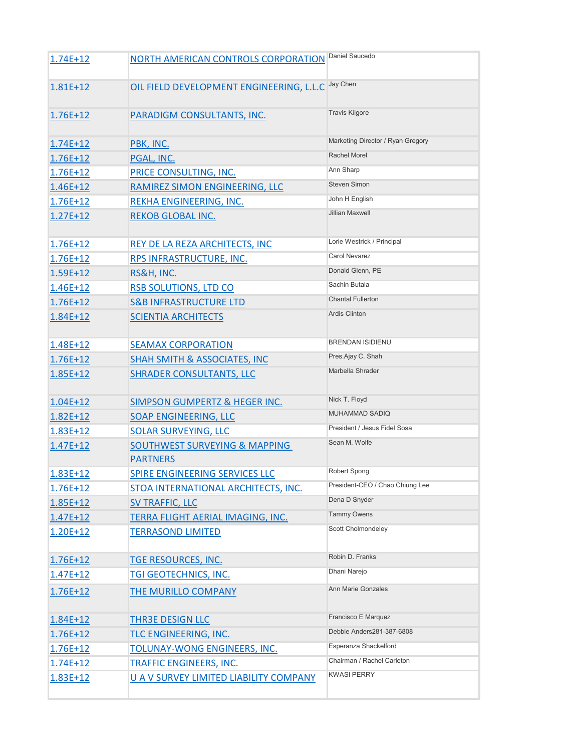| $1.74E + 12$ | NORTH AMERICAN CONTROLS CORPORATION                         | Daniel Saucedo                    |
|--------------|-------------------------------------------------------------|-----------------------------------|
| 1.81E+12     | OIL FIELD DEVELOPMENT ENGINEERING, L.L.C                    | Jay Chen                          |
| 1.76E+12     | <b>PARADIGM CONSULTANTS, INC.</b>                           | <b>Travis Kilgore</b>             |
| $1.74E + 12$ | PBK, INC.                                                   | Marketing Director / Ryan Gregory |
| 1.76E+12     | PGAL, INC.                                                  | Rachel Morel                      |
| 1.76E+12     | PRICE CONSULTING, INC.                                      | Ann Sharp                         |
| 1.46E+12     | RAMIREZ SIMON ENGINEERING, LLC                              | <b>Steven Simon</b>               |
| 1.76E+12     | REKHA ENGINEERING, INC.                                     | John H English                    |
| $1.27E + 12$ | <b>REKOB GLOBAL INC.</b>                                    | <b>Jillian Maxwell</b>            |
| 1.76E+12     | REY DE LA REZA ARCHITECTS, INC                              | Lorie Westrick / Principal        |
| 1.76E+12     | RPS INFRASTRUCTURE, INC.                                    | <b>Carol Nevarez</b>              |
| 1.59E+12     | RS&H, INC.                                                  | Donald Glenn, PE                  |
| 1.46E+12     | <b>RSB SOLUTIONS, LTD CO</b>                                | Sachin Butala                     |
| 1.76E+12     | <b>S&amp;B INFRASTRUCTURE LTD</b>                           | <b>Chantal Fullerton</b>          |
| 1.84E+12     | <b>SCIENTIA ARCHITECTS</b>                                  | <b>Ardis Clinton</b>              |
| 1.48E+12     | <b>SEAMAX CORPORATION</b>                                   | <b>BRENDAN ISIDIENU</b>           |
| $1.76E + 12$ | <b>SHAH SMITH &amp; ASSOCIATES, INC</b>                     | Pres.Ajay C. Shah                 |
| 1.85E+12     | <b>SHRADER CONSULTANTS, LLC</b>                             | Marbella Shrader                  |
| $1.04E + 12$ | <b>SIMPSON GUMPERTZ &amp; HEGER INC.</b>                    | Nick T. Floyd                     |
| 1.82E+12     | SOAP ENGINEERING, LLC                                       | <b>MUHAMMAD SADIQ</b>             |
| 1.83E+12     | <b>SOLAR SURVEYING, LLC</b>                                 | President / Jesus Fidel Sosa      |
| $1.47E+12$   | <b>SOUTHWEST SURVEYING &amp; MAPPING</b><br><b>PARTNERS</b> | Sean M. Wolfe                     |
| 1.83E+12     | SPIRE ENGINEERING SERVICES LLC                              | Robert Spong                      |
| 1.76E+12     | STOA INTERNATIONAL ARCHITECTS, INC.                         | President-CEO / Chao Chiung Lee   |
| 1.85E+12     | <b>SV TRAFFIC, LLC</b>                                      | Dena D Snyder                     |
| $1.47E + 12$ | TERRA FLIGHT AERIAL IMAGING, INC.                           | <b>Tammy Owens</b>                |
| 1.20E+12     | <b>TERRASOND LIMITED</b>                                    | Scott Cholmondeley                |
| 1.76E+12     | TGE RESOURCES, INC.                                         | Robin D. Franks                   |
| $1.47E+12$   | <b>TGI GEOTECHNICS, INC.</b>                                | Dhani Narejo                      |
| 1.76E+12     | THE MURILLO COMPANY                                         | <b>Ann Marie Gonzales</b>         |
| 1.84E+12     | <b>THR3E DESIGN LLC</b>                                     | Francisco E Marquez               |
| 1.76E+12     | TLC ENGINEERING, INC.                                       | Debbie Anders281-387-6808         |
| 1.76E+12     | <b>TOLUNAY-WONG ENGINEERS, INC.</b>                         | Esperanza Shackelford             |
| 1.74E+12     | <b>TRAFFIC ENGINEERS, INC.</b>                              | Chairman / Rachel Carleton        |
| 1.83E+12     | U A V SURVEY LIMITED LIABILITY COMPANY                      | <b>KWASI PERRY</b>                |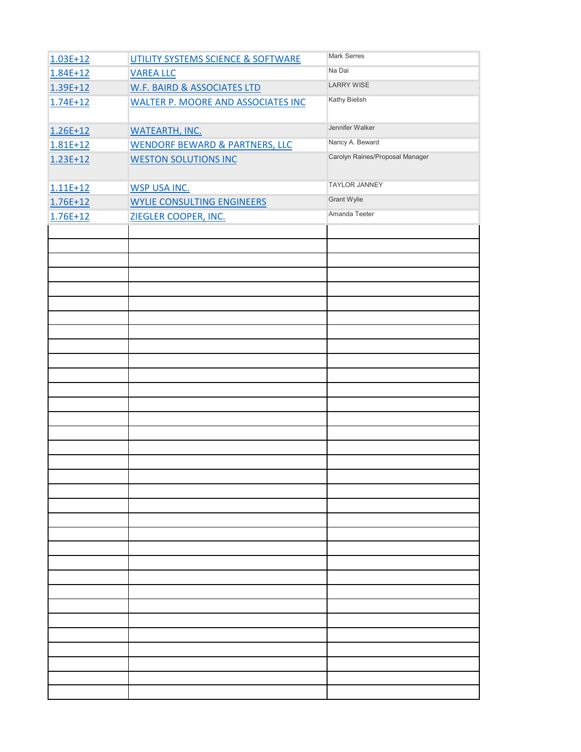| $1.03E + 12$ | UTILITY SYSTEMS SCIENCE & SOFTWARE        | <b>Mark Serres</b>              |
|--------------|-------------------------------------------|---------------------------------|
| 1.84E+12     | <b>VAREA LLC</b>                          | Na Dai                          |
| 1.39E+12     | W.F. BAIRD & ASSOCIATES LTD               | <b>LARRY WISE</b>               |
| $1.74E + 12$ | <b>WALTER P. MOORE AND ASSOCIATES INC</b> | Kathy Bielish                   |
|              |                                           |                                 |
| 1.26E+12     | <b>WATEARTH, INC.</b>                     | Jennifer Walker                 |
| $1.81E+12$   | <b>WENDORF BEWARD &amp; PARTNERS, LLC</b> | Nancy A. Beward                 |
| $1.23E+12$   | <b>WESTON SOLUTIONS INC</b>               | Carolyn Raines/Proposal Manager |
|              |                                           |                                 |
| $1.11E+12$   | <b>WSP USA INC.</b>                       | <b>TAYLOR JANNEY</b>            |
| 1.76E+12     | <b>WYLIE CONSULTING ENGINEERS</b>         | Grant Wylie                     |
| 1.76E+12     | ZIEGLER COOPER, INC.                      | Amanda Teeter                   |
|              |                                           |                                 |
|              |                                           |                                 |
|              |                                           |                                 |
|              |                                           |                                 |
|              |                                           |                                 |
|              |                                           |                                 |
|              |                                           |                                 |
|              |                                           |                                 |
|              |                                           |                                 |
|              |                                           |                                 |
|              |                                           |                                 |
|              |                                           |                                 |
|              |                                           |                                 |
|              |                                           |                                 |
|              |                                           |                                 |
|              |                                           |                                 |
|              |                                           |                                 |
|              |                                           |                                 |
|              |                                           |                                 |
|              |                                           |                                 |
|              |                                           |                                 |
|              |                                           |                                 |
|              |                                           |                                 |
|              |                                           |                                 |
|              |                                           |                                 |
|              |                                           |                                 |
|              |                                           |                                 |
|              |                                           |                                 |
|              |                                           |                                 |
|              |                                           |                                 |
|              |                                           |                                 |
|              |                                           |                                 |
|              |                                           |                                 |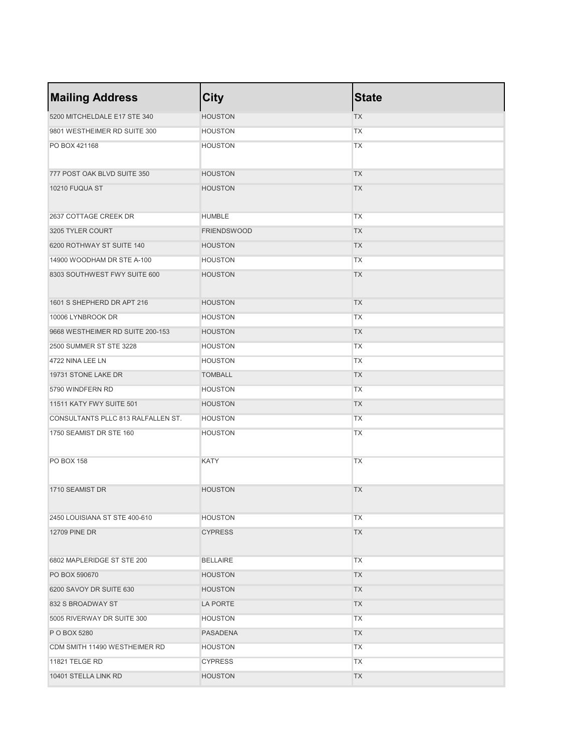| <b>Mailing Address</b>             | City               | <b>State</b> |
|------------------------------------|--------------------|--------------|
| 5200 MITCHELDALE E17 STE 340       | <b>HOUSTON</b>     | <b>TX</b>    |
| 9801 WESTHEIMER RD SUITE 300       | <b>HOUSTON</b>     | <b>TX</b>    |
| PO BOX 421168                      | <b>HOUSTON</b>     | <b>TX</b>    |
| 777 POST OAK BLVD SUITE 350        | <b>HOUSTON</b>     | <b>TX</b>    |
| 10210 FUQUA ST                     | <b>HOUSTON</b>     | <b>TX</b>    |
| 2637 COTTAGE CREEK DR              | <b>HUMBLE</b>      | <b>TX</b>    |
| 3205 TYLER COURT                   | <b>FRIENDSWOOD</b> | <b>TX</b>    |
| 6200 ROTHWAY ST SUITE 140          | <b>HOUSTON</b>     | <b>TX</b>    |
| 14900 WOODHAM DR STE A-100         | <b>HOUSTON</b>     | <b>TX</b>    |
| 8303 SOUTHWEST FWY SUITE 600       | <b>HOUSTON</b>     | <b>TX</b>    |
| 1601 S SHEPHERD DR APT 216         | <b>HOUSTON</b>     | <b>TX</b>    |
| 10006 LYNBROOK DR                  | <b>HOUSTON</b>     | <b>TX</b>    |
| 9668 WESTHEIMER RD SUITE 200-153   | <b>HOUSTON</b>     | <b>TX</b>    |
| 2500 SUMMER ST STE 3228            | <b>HOUSTON</b>     | <b>TX</b>    |
| 4722 NINA LEE LN                   | <b>HOUSTON</b>     | <b>TX</b>    |
| 19731 STONE LAKE DR                | <b>TOMBALL</b>     | <b>TX</b>    |
| 5790 WINDFERN RD                   | <b>HOUSTON</b>     | <b>TX</b>    |
| 11511 KATY FWY SUITE 501           | <b>HOUSTON</b>     | <b>TX</b>    |
| CONSULTANTS PLLC 813 RALFALLEN ST. | <b>HOUSTON</b>     | <b>TX</b>    |
| 1750 SEAMIST DR STE 160            | <b>HOUSTON</b>     | <b>TX</b>    |
| <b>PO BOX 158</b>                  | <b>KATY</b>        | <b>TX</b>    |
| 1710 SEAMIST DR                    | <b>HOUSTON</b>     | <b>TX</b>    |
| 2450 LOUISIANA ST STE 400-610      | <b>HOUSTON</b>     | <b>TX</b>    |
| <b>12709 PINE DR</b>               | <b>CYPRESS</b>     | <b>TX</b>    |
| 6802 MAPLERIDGE ST STE 200         | <b>BELLAIRE</b>    | <b>TX</b>    |
| PO BOX 590670                      | <b>HOUSTON</b>     | <b>TX</b>    |
| 6200 SAVOY DR SUITE 630            | <b>HOUSTON</b>     | <b>TX</b>    |
| 832 S BROADWAY ST                  | LA PORTE           | <b>TX</b>    |
| 5005 RIVERWAY DR SUITE 300         | <b>HOUSTON</b>     | <b>TX</b>    |
| P O BOX 5280                       | <b>PASADENA</b>    | <b>TX</b>    |
| CDM SMITH 11490 WESTHEIMER RD      | <b>HOUSTON</b>     | <b>TX</b>    |
| 11821 TELGE RD                     | <b>CYPRESS</b>     | <b>TX</b>    |
| 10401 STELLA LINK RD               | <b>HOUSTON</b>     | <b>TX</b>    |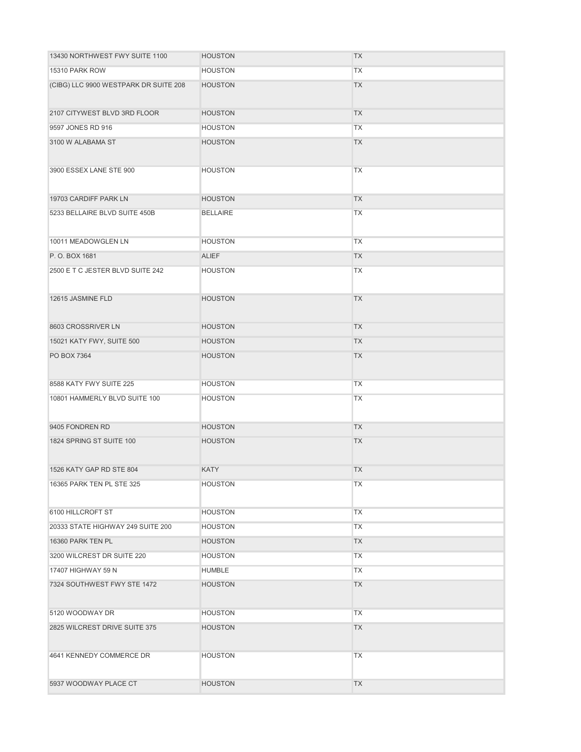| 13430 NORTHWEST FWY SUITE 1100        | <b>HOUSTON</b>  | <b>TX</b> |
|---------------------------------------|-----------------|-----------|
| 15310 PARK ROW                        | <b>HOUSTON</b>  | <b>TX</b> |
| (CIBG) LLC 9900 WESTPARK DR SUITE 208 | <b>HOUSTON</b>  | <b>TX</b> |
| 2107 CITYWEST BLVD 3RD FLOOR          | <b>HOUSTON</b>  | <b>TX</b> |
| 9597 JONES RD 916                     | <b>HOUSTON</b>  | <b>TX</b> |
| 3100 W ALABAMA ST                     | <b>HOUSTON</b>  | <b>TX</b> |
| 3900 ESSEX LANE STE 900               | <b>HOUSTON</b>  | <b>TX</b> |
| 19703 CARDIFF PARK LN                 | <b>HOUSTON</b>  | <b>TX</b> |
| 5233 BELLAIRE BLVD SUITE 450B         | <b>BELLAIRE</b> | <b>TX</b> |
| 10011 MEADOWGLEN LN                   | <b>HOUSTON</b>  | <b>TX</b> |
| P.O. BOX 1681                         | <b>ALIEF</b>    | <b>TX</b> |
| 2500 E T C JESTER BLVD SUITE 242      | <b>HOUSTON</b>  | <b>TX</b> |
| 12615 JASMINE FLD                     | <b>HOUSTON</b>  | <b>TX</b> |
| 8603 CROSSRIVER LN                    | <b>HOUSTON</b>  | <b>TX</b> |
| 15021 KATY FWY, SUITE 500             | <b>HOUSTON</b>  | <b>TX</b> |
| PO BOX 7364                           | <b>HOUSTON</b>  | <b>TX</b> |
| 8588 KATY FWY SUITE 225               | <b>HOUSTON</b>  | <b>TX</b> |
| 10801 HAMMERLY BLVD SUITE 100         | <b>HOUSTON</b>  | <b>TX</b> |
| 9405 FONDREN RD                       | <b>HOUSTON</b>  | <b>TX</b> |
| 1824 SPRING ST SUITE 100              | <b>HOUSTON</b>  | <b>TX</b> |
| 1526 KATY GAP RD STE 804              | <b>KATY</b>     | <b>TX</b> |
| 16365 PARK TEN PL STE 325             | <b>HOUSTON</b>  | <b>TX</b> |
| 6100 HILLCROFT ST                     | <b>HOUSTON</b>  | <b>TX</b> |
| 20333 STATE HIGHWAY 249 SUITE 200     | <b>HOUSTON</b>  | <b>TX</b> |
| 16360 PARK TEN PL                     | <b>HOUSTON</b>  | <b>TX</b> |
| 3200 WILCREST DR SUITE 220            | <b>HOUSTON</b>  | <b>TX</b> |
| 17407 HIGHWAY 59 N                    | <b>HUMBLE</b>   | <b>TX</b> |
| 7324 SOUTHWEST FWY STE 1472           | <b>HOUSTON</b>  | <b>TX</b> |
| 5120 WOODWAY DR                       | <b>HOUSTON</b>  | <b>TX</b> |
| 2825 WILCREST DRIVE SUITE 375         | <b>HOUSTON</b>  | <b>TX</b> |
| 4641 KENNEDY COMMERCE DR              | <b>HOUSTON</b>  | <b>TX</b> |
| 5937 WOODWAY PLACE CT                 | <b>HOUSTON</b>  | <b>TX</b> |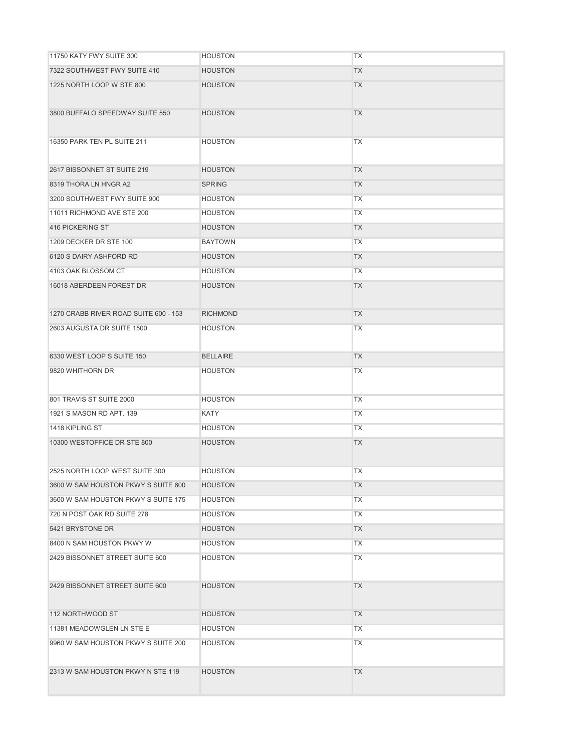| 11750 KATY FWY SUITE 300              | <b>HOUSTON</b>  | <b>TX</b> |
|---------------------------------------|-----------------|-----------|
| 7322 SOUTHWEST FWY SUITE 410          | <b>HOUSTON</b>  | <b>TX</b> |
| 1225 NORTH LOOP W STE 800             | <b>HOUSTON</b>  | <b>TX</b> |
| 3800 BUFFALO SPEEDWAY SUITE 550       | <b>HOUSTON</b>  | <b>TX</b> |
| 16350 PARK TEN PL SUITE 211           | <b>HOUSTON</b>  | <b>TX</b> |
| 2617 BISSONNET ST SUITE 219           | <b>HOUSTON</b>  | <b>TX</b> |
| 8319 THORA LN HNGR A2                 | <b>SPRING</b>   | <b>TX</b> |
| 3200 SOUTHWEST FWY SUITE 900          | <b>HOUSTON</b>  | <b>TX</b> |
| 11011 RICHMOND AVE STE 200            | <b>HOUSTON</b>  | <b>TX</b> |
| 416 PICKERING ST                      | <b>HOUSTON</b>  | <b>TX</b> |
| 1209 DECKER DR STE 100                | <b>BAYTOWN</b>  | <b>TX</b> |
| 6120 S DAIRY ASHFORD RD               | <b>HOUSTON</b>  | <b>TX</b> |
| 4103 OAK BLOSSOM CT                   | <b>HOUSTON</b>  | <b>TX</b> |
| 16018 ABERDEEN FOREST DR              | <b>HOUSTON</b>  | <b>TX</b> |
| 1270 CRABB RIVER ROAD SUITE 600 - 153 | <b>RICHMOND</b> | <b>TX</b> |
| 2603 AUGUSTA DR SUITE 1500            | <b>HOUSTON</b>  | <b>TX</b> |
| 6330 WEST LOOP S SUITE 150            | <b>BELLAIRE</b> | <b>TX</b> |
| 9820 WHITHORN DR                      | <b>HOUSTON</b>  | <b>TX</b> |
| 801 TRAVIS ST SUITE 2000              | <b>HOUSTON</b>  | <b>TX</b> |
| 1921 S MASON RD APT, 139              | KATY            | <b>TX</b> |
| 1418 KIPLING ST                       | <b>HOUSTON</b>  | <b>TX</b> |
| 10300 WESTOFFICE DR STE 800           | <b>HOUSTON</b>  | <b>TX</b> |
| 2525 NORTH LOOP WEST SUITE 300        | <b>HOUSTON</b>  | <b>TX</b> |
| 3600 W SAM HOUSTON PKWY S SUITE 600   | <b>HOUSTON</b>  | <b>TX</b> |
| 3600 W SAM HOUSTON PKWY S SUITE 175   | <b>HOUSTON</b>  | <b>TX</b> |
| 720 N POST OAK RD SUITE 278           | <b>HOUSTON</b>  | <b>TX</b> |
| 5421 BRYSTONE DR                      | <b>HOUSTON</b>  | <b>TX</b> |
| 8400 N SAM HOUSTON PKWY W             | <b>HOUSTON</b>  | <b>TX</b> |
| 2429 BISSONNET STREET SUITE 600       | <b>HOUSTON</b>  | <b>TX</b> |
| 2429 BISSONNET STREET SUITE 600       | <b>HOUSTON</b>  | <b>TX</b> |
| 112 NORTHWOOD ST                      | <b>HOUSTON</b>  | <b>TX</b> |
| 11381 MEADOWGLEN LN STE E             | <b>HOUSTON</b>  | <b>TX</b> |
| 9960 W SAM HOUSTON PKWY S SUITE 200   | <b>HOUSTON</b>  | <b>TX</b> |
| 2313 W SAM HOUSTON PKWY N STE 119     | <b>HOUSTON</b>  | <b>TX</b> |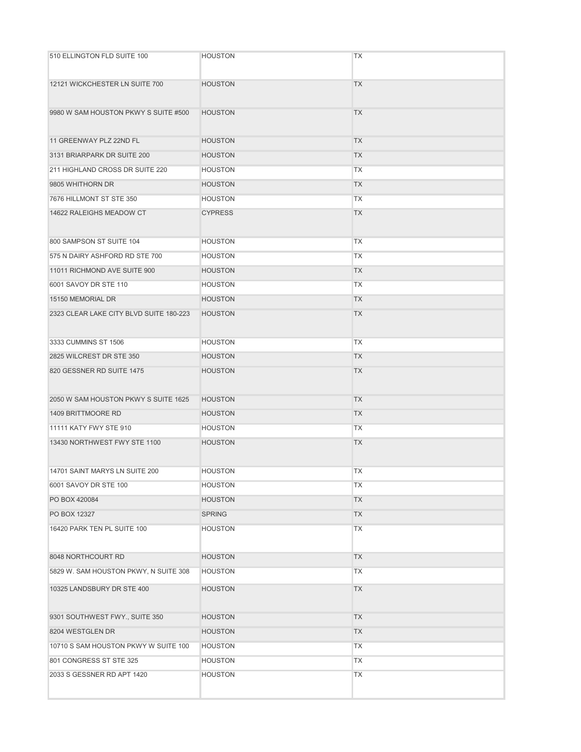| 510 ELLINGTON FLD SUITE 100             | <b>HOUSTON</b> | <b>TX</b> |
|-----------------------------------------|----------------|-----------|
| 12121 WICKCHESTER LN SUITE 700          | <b>HOUSTON</b> | <b>TX</b> |
| 9980 W SAM HOUSTON PKWY S SUITE #500    | <b>HOUSTON</b> | <b>TX</b> |
| 11 GREENWAY PLZ 22ND FL                 | <b>HOUSTON</b> | <b>TX</b> |
| 3131 BRIARPARK DR SUITE 200             | <b>HOUSTON</b> | <b>TX</b> |
| 211 HIGHLAND CROSS DR SUITE 220         | <b>HOUSTON</b> | <b>TX</b> |
| 9805 WHITHORN DR                        | <b>HOUSTON</b> | <b>TX</b> |
| 7676 HILLMONT ST STE 350                | <b>HOUSTON</b> | <b>TX</b> |
| 14622 RALEIGHS MEADOW CT                | <b>CYPRESS</b> | <b>TX</b> |
| 800 SAMPSON ST SUITE 104                | <b>HOUSTON</b> | <b>TX</b> |
| 575 N DAIRY ASHFORD RD STE 700          | <b>HOUSTON</b> | <b>TX</b> |
| 11011 RICHMOND AVE SUITE 900            | <b>HOUSTON</b> | <b>TX</b> |
| 6001 SAVOY DR STE 110                   | <b>HOUSTON</b> | <b>TX</b> |
| 15150 MEMORIAL DR                       | <b>HOUSTON</b> | <b>TX</b> |
| 2323 CLEAR LAKE CITY BLVD SUITE 180-223 | <b>HOUSTON</b> | <b>TX</b> |
| 3333 CUMMINS ST 1506                    | <b>HOUSTON</b> | <b>TX</b> |
| 2825 WILCREST DR STE 350                | <b>HOUSTON</b> | <b>TX</b> |
| 820 GESSNER RD SUITE 1475               | <b>HOUSTON</b> | <b>TX</b> |
| 2050 W SAM HOUSTON PKWY S SUITE 1625    | <b>HOUSTON</b> | <b>TX</b> |
| 1409 BRITTMOORE RD                      | <b>HOUSTON</b> | <b>TX</b> |
| 11111 KATY FWY STE 910                  | <b>HOUSTON</b> | <b>TX</b> |
| 13430 NORTHWEST FWY STE 1100            | <b>HOUSTON</b> | <b>TX</b> |
| 14701 SAINT MARYS LN SUITE 200          | <b>HOUSTON</b> | <b>TX</b> |
| 6001 SAVOY DR STE 100                   | <b>HOUSTON</b> | <b>TX</b> |
| PO BOX 420084                           | <b>HOUSTON</b> | <b>TX</b> |
| PO BOX 12327                            | <b>SPRING</b>  | <b>TX</b> |
| 16420 PARK TEN PL SUITE 100             | <b>HOUSTON</b> | <b>TX</b> |
| 8048 NORTHCOURT RD                      | <b>HOUSTON</b> | <b>TX</b> |
| 5829 W. SAM HOUSTON PKWY, N SUITE 308   | <b>HOUSTON</b> | <b>TX</b> |
| 10325 LANDSBURY DR STE 400              | <b>HOUSTON</b> | <b>TX</b> |
| 9301 SOUTHWEST FWY., SUITE 350          | <b>HOUSTON</b> | <b>TX</b> |
| 8204 WESTGLEN DR                        | <b>HOUSTON</b> | <b>TX</b> |
| 10710 S SAM HOUSTON PKWY W SUITE 100    | <b>HOUSTON</b> | <b>TX</b> |
| 801 CONGRESS ST STE 325                 | <b>HOUSTON</b> | <b>TX</b> |
| 2033 S GESSNER RD APT 1420              | <b>HOUSTON</b> | <b>TX</b> |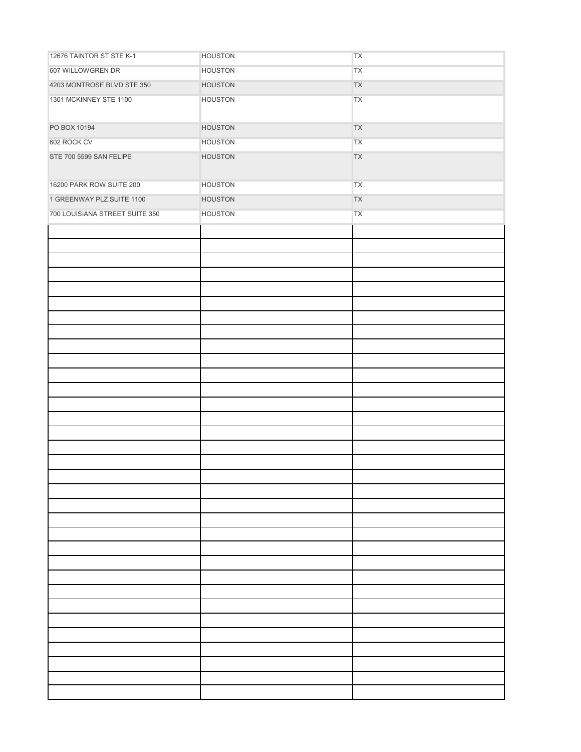| 12676 TAINTOR ST STE K-1       | <b>HOUSTON</b> | ${\sf TX}$ |
|--------------------------------|----------------|------------|
| 607 WILLOWGREN DR              | <b>HOUSTON</b> | ${\sf TX}$ |
| 4203 MONTROSE BLVD STE 350     | <b>HOUSTON</b> | <b>TX</b>  |
| 1301 MCKINNEY STE 1100         | <b>HOUSTON</b> | ${\sf TX}$ |
|                                |                |            |
| PO BOX 10194                   | <b>HOUSTON</b> | ${\sf TX}$ |
| 602 ROCK CV                    | <b>HOUSTON</b> | ${\sf TX}$ |
| STE 700 5599 SAN FELIPE        | <b>HOUSTON</b> | ${\sf TX}$ |
|                                |                |            |
| 16200 PARK ROW SUITE 200       | <b>HOUSTON</b> | ${\sf TX}$ |
| 1 GREENWAY PLZ SUITE 1100      | <b>HOUSTON</b> | ${\sf TX}$ |
| 700 LOUISIANA STREET SUITE 350 | <b>HOUSTON</b> | ${\sf TX}$ |
|                                |                |            |
|                                |                |            |
|                                |                |            |
|                                |                |            |
|                                |                |            |
|                                |                |            |
|                                |                |            |
|                                |                |            |
|                                |                |            |
|                                |                |            |
|                                |                |            |
|                                |                |            |
|                                |                |            |
|                                |                |            |
|                                |                |            |
|                                |                |            |
|                                |                |            |
|                                |                |            |
|                                |                |            |
|                                |                |            |
|                                |                |            |
|                                |                |            |
|                                |                |            |
|                                |                |            |
|                                |                |            |
|                                |                |            |
|                                |                |            |
|                                |                |            |
|                                |                |            |
|                                |                |            |
|                                |                |            |
|                                |                |            |
|                                |                |            |
|                                |                |            |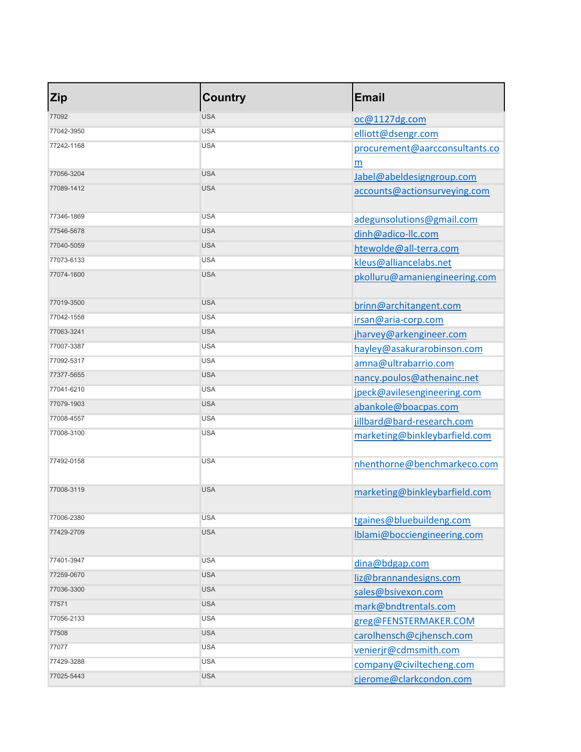| <b>Zip</b> | <b>Country</b> | <b>Email</b>                   |
|------------|----------------|--------------------------------|
| 77092      | <b>USA</b>     | oc@1127dg.com                  |
| 77042-3950 | <b>USA</b>     | elliott@dsengr.com             |
| 77242-1168 | <b>USA</b>     | procurement@aarcconsultants.co |
|            |                | m                              |
| 77056-3204 | <b>USA</b>     | Jabel@abeldesigngroup.com      |
| 77089-1412 | <b>USA</b>     | accounts@actionsurveying.com   |
| 77346-1869 | <b>USA</b>     | adegunsolutions@gmail.com      |
| 77546-5678 | <b>USA</b>     | dinh@adico-llc.com             |
| 77040-5059 | <b>USA</b>     | htewolde@all-terra.com         |
| 77073-6133 | <b>USA</b>     | kleus@alliancelabs.net         |
| 77074-1600 | <b>USA</b>     | pkolluru@amaniengineering.com  |
| 77019-3500 | <b>USA</b>     | brinn@architangent.com         |
| 77042-1558 | <b>USA</b>     | irsan@aria-corp.com            |
| 77063-3241 | <b>USA</b>     | jharvey@arkengineer.com        |
| 77007-3387 | <b>USA</b>     | hayley@asakurarobinson.com     |
| 77092-5317 | <b>USA</b>     | amna@ultrabarrio.com           |
| 77377-5655 | <b>USA</b>     | nancy.poulos@athenainc.net     |
| 77041-6210 | <b>USA</b>     | jpeck@avilesengineering.com    |
| 77079-1903 | <b>USA</b>     | abankole@boacpas.com           |
| 77008-4557 | <b>USA</b>     | jillbard@bard-research.com     |
| 77008-3100 | <b>USA</b>     | marketing@binkleybarfield.com  |
| 77492-0158 | <b>USA</b>     | nhenthorne@benchmarkeco.com    |
| 77008-3119 | <b>USA</b>     | marketing@binkleybarfield.com  |
| 77006-2380 | <b>USA</b>     | tgaines@bluebuildeng.com       |
| 77429-2709 | <b>USA</b>     | Iblami@bocciengineering.com    |
| 77401-3947 | <b>USA</b>     | dina@bdgap.com                 |
| 77259-0670 | <b>USA</b>     | liz@brannandesigns.com         |
| 77036-3300 | <b>USA</b>     | sales@bsivexon.com             |
| 77571      | <b>USA</b>     | mark@bndtrentals.com           |
| 77056-2133 | <b>USA</b>     | greg@FENSTERMAKER.COM          |
| 77508      | <b>USA</b>     | carolhensch@cjhensch.com       |
| 77077      | <b>USA</b>     | venierjr@cdmsmith.com          |
| 77429-3288 | <b>USA</b>     | company@civiltecheng.com       |
| 77025-5443 | <b>USA</b>     | cjerome@clarkcondon.com        |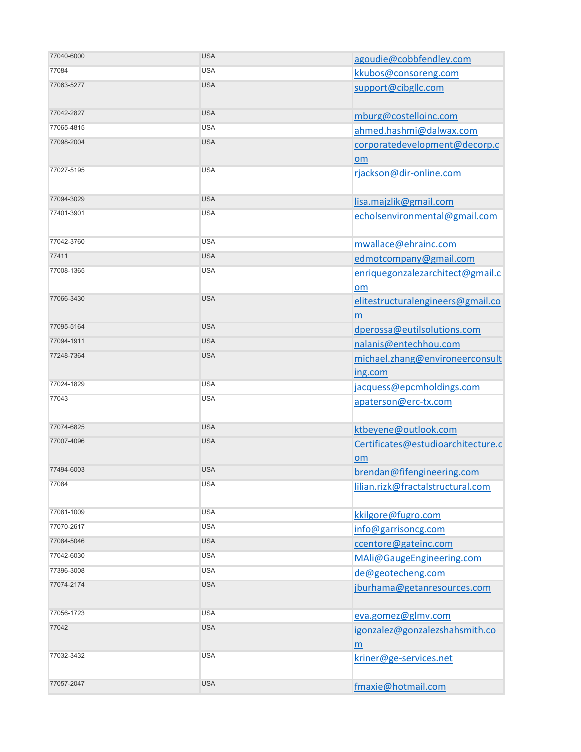| 77040-6000 | <b>USA</b> | agoudie@cobbfendley.com                    |
|------------|------------|--------------------------------------------|
| 77084      | <b>USA</b> | kkubos@consoreng.com                       |
| 77063-5277 | <b>USA</b> | support@cibgllc.com                        |
| 77042-2827 | <b>USA</b> | mburg@costelloinc.com                      |
| 77065-4815 | <b>USA</b> | ahmed.hashmi@dalwax.com                    |
| 77098-2004 | <b>USA</b> | corporatedevelopment@decorp.c<br>om        |
| 77027-5195 | <b>USA</b> | rjackson@dir-online.com                    |
| 77094-3029 | <b>USA</b> | lisa.majzlik@gmail.com                     |
| 77401-3901 | <b>USA</b> | echolsenvironmental@gmail.com              |
| 77042-3760 | <b>USA</b> | mwallace@ehrainc.com                       |
| 77411      | <b>USA</b> | edmotcompany@gmail.com                     |
| 77008-1365 | <b>USA</b> | enriquegonzalezarchitect@gmail.c<br>om     |
| 77066-3430 | <b>USA</b> | elitestructuralengineers@gmail.co<br>m     |
| 77095-5164 | <b>USA</b> | dperossa@eutilsolutions.com                |
| 77094-1911 | <b>USA</b> | nalanis@entechhou.com                      |
| 77248-7364 | <b>USA</b> | michael.zhang@environeerconsult<br>ing.com |
| 77024-1829 | <b>USA</b> | jacquess@epcmholdings.com                  |
| 77043      | <b>USA</b> | apaterson@erc-tx.com                       |
| 77074-6825 | <b>USA</b> | ktbeyene@outlook.com                       |
| 77007-4096 | <b>USA</b> | Certificates@estudioarchitecture.c<br>om   |
| 77494-6003 | <b>USA</b> | brendan@fifengineering.com                 |
| 77084      | <b>USA</b> | lilian.rizk@fractalstructural.com          |
| 77081-1009 | <b>USA</b> | kkilgore@fugro.com                         |
| 77070-2617 | <b>USA</b> | info@garrisoncg.com                        |
| 77084-5046 | <b>USA</b> | ccentore@gateinc.com                       |
| 77042-6030 | <b>USA</b> | MAli@GaugeEngineering.com                  |
| 77396-3008 | <b>USA</b> | de@geotecheng.com                          |
| 77074-2174 | <b>USA</b> | jburhama@getanresources.com                |
| 77056-1723 | <b>USA</b> | eva.gomez@glmv.com                         |
| 77042      | <b>USA</b> | igonzalez@gonzalezshahsmith.co<br>m        |
| 77032-3432 | <b>USA</b> | kriner@ge-services.net                     |
| 77057-2047 | <b>USA</b> | fmaxie@hotmail.com                         |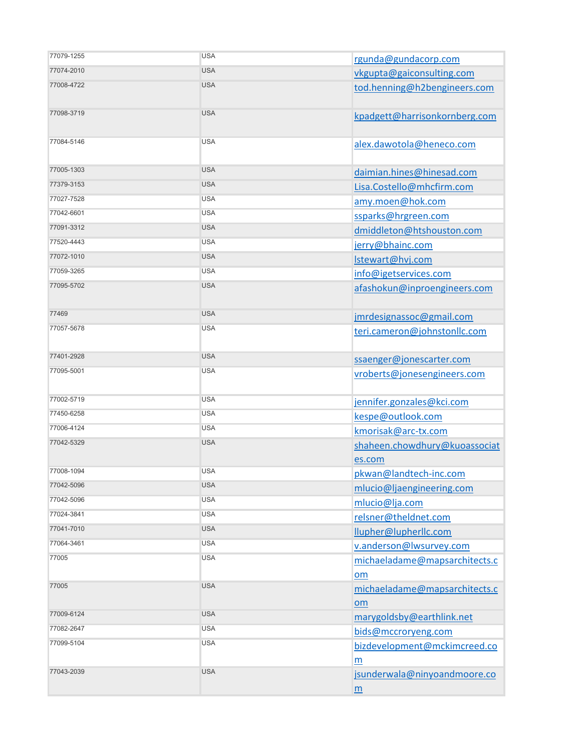| 77079-1255 | <b>USA</b> | rgunda@gundacorp.com                            |
|------------|------------|-------------------------------------------------|
| 77074-2010 | <b>USA</b> | vkgupta@gaiconsulting.com                       |
| 77008-4722 | <b>USA</b> | tod.henning@h2bengineers.com                    |
| 77098-3719 | <b>USA</b> | kpadgett@harrisonkornberg.com                   |
| 77084-5146 | <b>USA</b> | alex.dawotola@heneco.com                        |
| 77005-1303 | <b>USA</b> | daimian.hines@hinesad.com                       |
| 77379-3153 | <b>USA</b> | Lisa.Costello@mhcfirm.com                       |
| 77027-7528 | <b>USA</b> | amy.moen@hok.com                                |
| 77042-6601 | <b>USA</b> | ssparks@hrgreen.com                             |
| 77091-3312 | <b>USA</b> | dmiddleton@htshouston.com                       |
| 77520-4443 | <b>USA</b> | jerry@bhainc.com                                |
| 77072-1010 | <b>USA</b> | Istewart@hvj.com                                |
| 77059-3265 | <b>USA</b> | info@igetservices.com                           |
| 77095-5702 | <b>USA</b> | afashokun@inproengineers.com                    |
| 77469      | <b>USA</b> | jmrdesignassoc@gmail.com                        |
| 77057-5678 | <b>USA</b> | teri.cameron@johnstonllc.com                    |
| 77401-2928 | <b>USA</b> | ssaenger@jonescarter.com                        |
| 77095-5001 | <b>USA</b> | vroberts@jonesengineers.com                     |
| 77002-5719 | <b>USA</b> | jennifer.gonzales@kci.com                       |
| 77450-6258 | <b>USA</b> | kespe@outlook.com                               |
| 77006-4124 | <b>USA</b> | kmorisak@arc-tx.com                             |
| 77042-5329 | <b>USA</b> | shaheen.chowdhury@kuoassociat                   |
|            |            | es.com                                          |
| 77008-1094 | <b>USA</b> | pkwan@landtech-inc.com                          |
| 77042-5096 | <b>USA</b> | mlucio@ljaengineering.com                       |
| 77042-5096 | <b>USA</b> | mlucio@lja.com                                  |
| 77024-3841 | <b>USA</b> | relsner@theldnet.com                            |
| 77041-7010 | <b>USA</b> | llupher@lupherllc.com                           |
| 77064-3461 | <b>USA</b> | v.anderson@lwsurvey.com                         |
| 77005      | <b>USA</b> | michaeladame@mapsarchitects.c<br>om             |
| 77005      | <b>USA</b> | michaeladame@mapsarchitects.c<br>om             |
| 77009-6124 | <b>USA</b> | marygoldsby@earthlink.net                       |
| 77082-2647 | <b>USA</b> | bids@mccroryeng.com                             |
| 77099-5104 | <b>USA</b> | bizdevelopment@mckimcreed.co<br>m               |
| 77043-2039 | <b>USA</b> | jsunderwala@ninyoandmoore.co<br>$\underline{m}$ |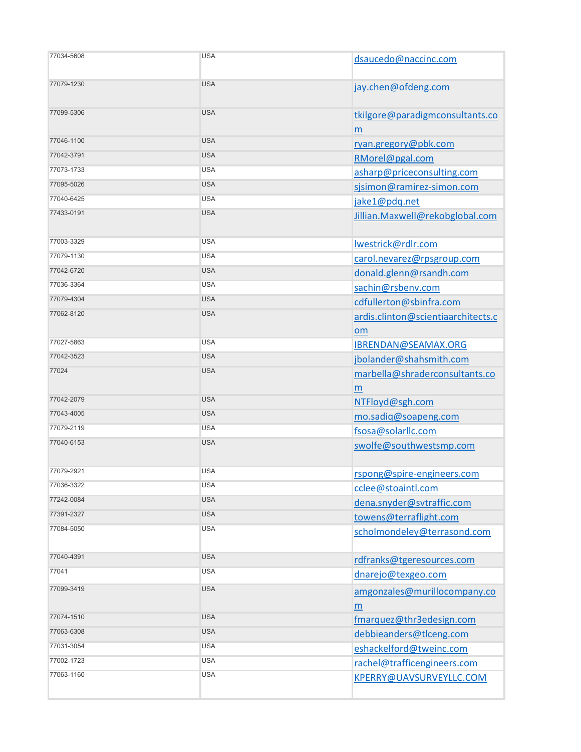| 77034-5608 | <b>USA</b> | dsaucedo@naccinc.com                     |
|------------|------------|------------------------------------------|
| 77079-1230 | <b>USA</b> | jay.chen@ofdeng.com                      |
| 77099-5306 | <b>USA</b> | tkilgore@paradigmconsultants.co<br>m     |
| 77046-1100 | <b>USA</b> | ryan.gregory@pbk.com                     |
| 77042-3791 | <b>USA</b> | RMorel@pgal.com                          |
| 77073-1733 | <b>USA</b> | asharp@priceconsulting.com               |
| 77095-5026 | <b>USA</b> | sjsimon@ramirez-simon.com                |
| 77040-6425 | <b>USA</b> | jake1@pdq.net                            |
| 77433-0191 | <b>USA</b> | Jillian.Maxwell@rekobglobal.com          |
| 77003-3329 | <b>USA</b> | lwestrick@rdlr.com                       |
| 77079-1130 | <b>USA</b> | carol.nevarez@rpsgroup.com               |
| 77042-6720 | <b>USA</b> | donald.glenn@rsandh.com                  |
| 77036-3364 | <b>USA</b> | sachin@rsbenv.com                        |
| 77079-4304 | <b>USA</b> | cdfullerton@sbinfra.com                  |
| 77062-8120 | <b>USA</b> | ardis.clinton@scientiaarchitects.c<br>om |
| 77027-5863 | <b>USA</b> | IBRENDAN@SEAMAX.ORG                      |
| 77042-3523 | <b>USA</b> | jbolander@shahsmith.com                  |
| 77024      | <b>USA</b> | marbella@shraderconsultants.co<br>m      |
| 77042-2079 | <b>USA</b> | NTFloyd@sgh.com                          |
| 77043-4005 | <b>USA</b> | mo.sadiq@soapeng.com                     |
| 77079-2119 | <b>USA</b> | fsosa@solarllc.com                       |
| 77040-6153 | <b>USA</b> | swolfe@southwestsmp.com                  |
| 77079-2921 | <b>USA</b> | rspong@spire-engineers.com               |
| 77036-3322 | <b>USA</b> | cclee@stoaintl.com                       |
| 77242-0084 | <b>USA</b> | dena.snyder@svtraffic.com                |
| 77391-2327 | <b>USA</b> | towens@terraflight.com                   |
| 77084-5050 | <b>USA</b> | scholmondeley@terrasond.com              |
| 77040-4391 | <b>USA</b> | rdfranks@tgeresources.com                |
| 77041      | <b>USA</b> | dnarejo@texgeo.com                       |
| 77099-3419 | <b>USA</b> | amgonzales@murillocompany.co<br>m        |
| 77074-1510 | <b>USA</b> | fmarquez@thr3edesign.com                 |
| 77063-6308 | <b>USA</b> | debbieanders@tlceng.com                  |
| 77031-3054 | <b>USA</b> | eshackelford@tweinc.com                  |
| 77002-1723 | <b>USA</b> | rachel@trafficengineers.com              |
| 77063-1160 | <b>USA</b> | KPERRY@UAVSURVEYLLC.COM                  |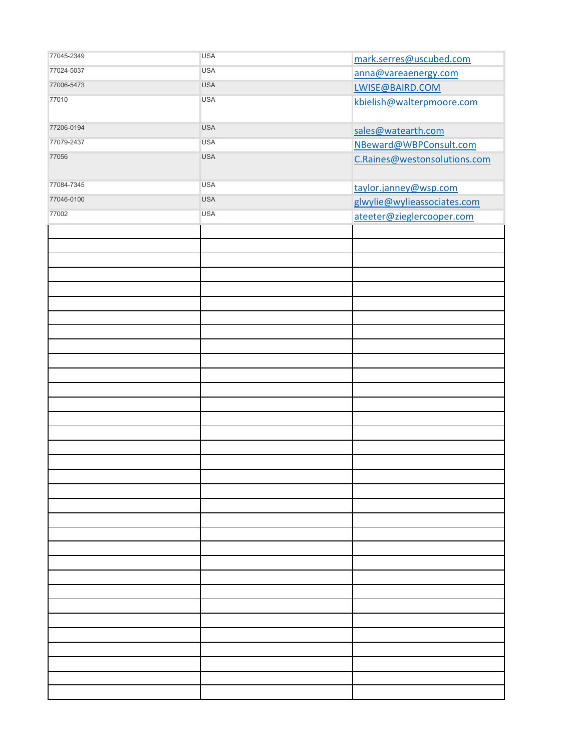| 77045-2349 | <b>USA</b> | mark.serres@uscubed.com      |
|------------|------------|------------------------------|
| 77024-5037 | <b>USA</b> | anna@vareaenergy.com         |
| 77006-5473 | <b>USA</b> | LWISE@BAIRD.COM              |
| 77010      | <b>USA</b> | kbielish@walterpmoore.com    |
|            |            |                              |
| 77206-0194 | <b>USA</b> | sales@watearth.com           |
| 77079-2437 | <b>USA</b> | NBeward@WBPConsult.com       |
| 77056      | <b>USA</b> | C.Raines@westonsolutions.com |
|            |            |                              |
| 77084-7345 | <b>USA</b> | taylor.janney@wsp.com        |
| 77046-0100 | <b>USA</b> | glwylie@wylieassociates.com  |
| 77002      | <b>USA</b> | ateeter@zieglercooper.com    |
|            |            |                              |
|            |            |                              |
|            |            |                              |
|            |            |                              |
|            |            |                              |
|            |            |                              |
|            |            |                              |
|            |            |                              |
|            |            |                              |
|            |            |                              |
|            |            |                              |
|            |            |                              |
|            |            |                              |
|            |            |                              |
|            |            |                              |
|            |            |                              |
|            |            |                              |
|            |            |                              |
|            |            |                              |
|            |            |                              |
|            |            |                              |
|            |            |                              |
|            |            |                              |
|            |            |                              |
|            |            |                              |
|            |            |                              |
|            |            |                              |
|            |            |                              |
|            |            |                              |
|            |            |                              |
|            |            |                              |
|            |            |                              |
|            |            |                              |
|            |            |                              |
|            |            |                              |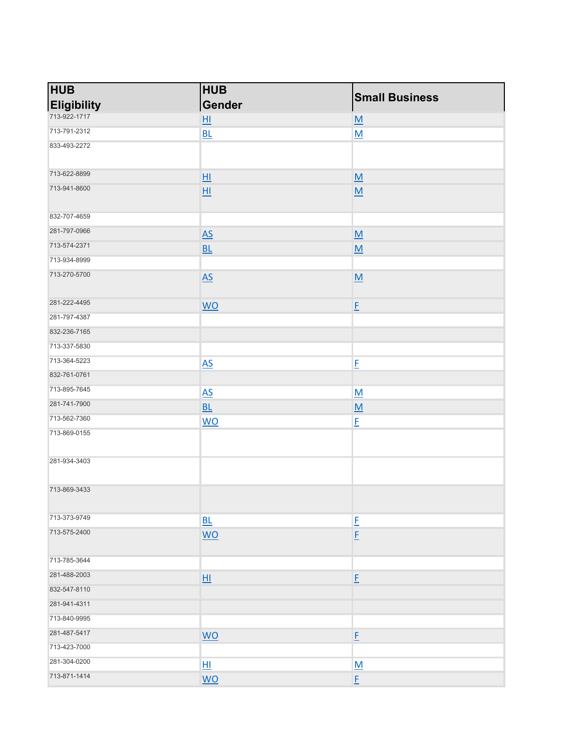| <b>HUB</b>         | <b>HUB</b>                |                          |
|--------------------|---------------------------|--------------------------|
| <b>Eligibility</b> | Gender                    | <b>Small Business</b>    |
| 713-922-1717       | $H_{\parallel}$           | M                        |
| 713-791-2312       | BL                        | M                        |
| 833-493-2272       |                           |                          |
| 713-622-8899       | H1                        | $\underline{\mathsf{M}}$ |
| 713-941-8600       | H1                        | M                        |
| 832-707-4659       |                           |                          |
| 281-797-0966       | $\underline{AS}$          | $\underline{\mathsf{M}}$ |
| 713-574-2371       | BL                        | $\underline{\mathsf{M}}$ |
| 713-934-8999       |                           |                          |
| 713-270-5700       | $\underline{AS}$          | $\underline{\mathsf{M}}$ |
| 281-222-4495       | $\underline{\mathsf{WO}}$ | E                        |
| 281-797-4387       |                           |                          |
| 832-236-7165       |                           |                          |
| 713-337-5830       |                           |                          |
| 713-364-5223       | $\underline{AS}$          | E                        |
| 832-761-0761       |                           |                          |
| 713-895-7645       | $\underline{AS}$          | M                        |
| 281-741-7900       | BL                        | $\underline{\mathsf{M}}$ |
| 713-562-7360       | <b>WO</b>                 | $E_{\parallel}$          |
| 713-869-0155       |                           |                          |
| 281-934-3403       |                           |                          |
| 713-869-3433       |                           |                          |
| 713-373-9749       | BL                        | E                        |
| 713-575-2400       | <b>WO</b>                 | $\underline{\mathsf{F}}$ |
| 713-785-3644       |                           |                          |
| 281-488-2003       | $H_{\parallel}$           | $\underline{\mathsf{F}}$ |
| 832-547-8110       |                           |                          |
| 281-941-4311       |                           |                          |
| 713-840-9995       |                           |                          |
| 281-487-5417       | <b>WO</b>                 | $\underline{\mathsf{F}}$ |
| 713-423-7000       |                           |                          |
| 281-304-0200       | H1                        | M                        |
| 713-871-1414       | <b>WO</b>                 | E                        |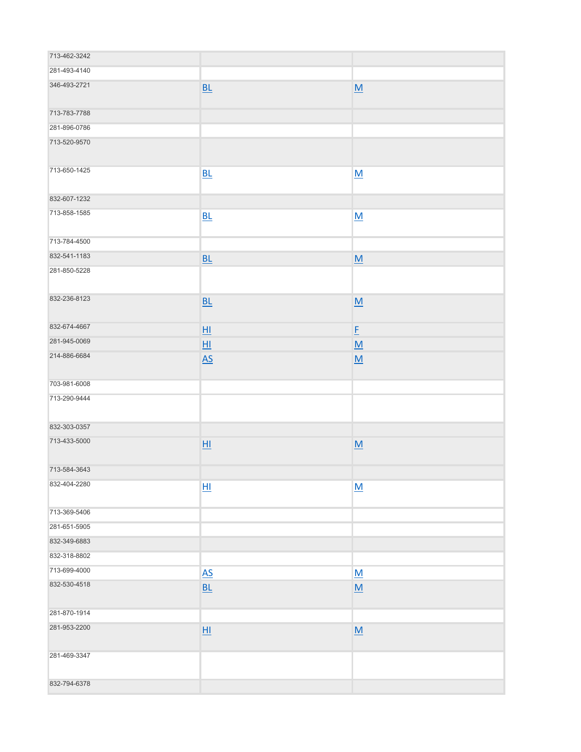| 713-462-3242 |                  |                          |
|--------------|------------------|--------------------------|
| 281-493-4140 |                  |                          |
| 346-493-2721 | BL               | M                        |
| 713-783-7788 |                  |                          |
| 281-896-0786 |                  |                          |
| 713-520-9570 |                  |                          |
| 713-650-1425 | BL               | M                        |
| 832-607-1232 |                  |                          |
| 713-858-1585 | BL               | M                        |
| 713-784-4500 |                  |                          |
| 832-541-1183 | BL               | $\underline{\mathsf{M}}$ |
| 281-850-5228 |                  |                          |
| 832-236-8123 | BL               | M                        |
| 832-674-4667 | $H_{\parallel}$  | E                        |
| 281-945-0069 | HI               | M                        |
| 214-886-6684 | $\underline{AS}$ | M                        |
| 703-981-6008 |                  |                          |
| 713-290-9444 |                  |                          |
| 832-303-0357 |                  |                          |
| 713-433-5000 | H1               | $\underline{\mathsf{M}}$ |
| 713-584-3643 |                  |                          |
| 832-404-2280 | H1               | M                        |
| 713-369-5406 |                  |                          |
| 281-651-5905 |                  |                          |
| 832-349-6883 |                  |                          |
| 832-318-8802 |                  |                          |
| 713-699-4000 | $\underline{AS}$ | M                        |
| 832-530-4518 | BL               | M                        |
| 281-870-1914 |                  |                          |
| 281-953-2200 | H1               | $\underline{\mathsf{M}}$ |
| 281-469-3347 |                  |                          |
| 832-794-6378 |                  |                          |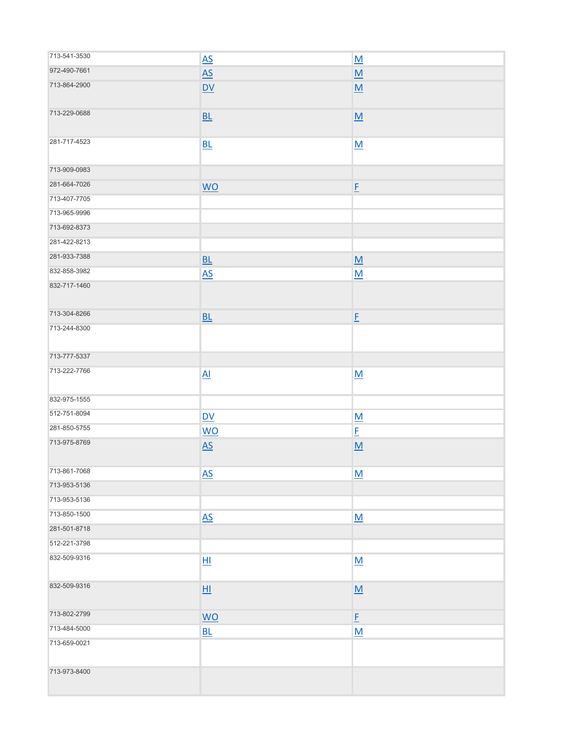| 713-541-3530 | $\underline{AS}$                   | $\underline{\mathsf{M}}$ |
|--------------|------------------------------------|--------------------------|
| 972-490-7661 | $\underline{AS}$                   | $\underline{\mathsf{M}}$ |
| 713-864-2900 | $\underline{\mathsf{D}\mathsf{V}}$ | $\underline{\mathsf{M}}$ |
| 713-229-0688 | BL                                 | $\underline{\mathsf{M}}$ |
| 281-717-4523 | BL                                 | M                        |
| 713-909-0983 |                                    |                          |
| 281-664-7026 | $\underline{\mathsf{WO}}$          | E                        |
| 713-407-7705 |                                    |                          |
| 713-965-9996 |                                    |                          |
| 713-692-8373 |                                    |                          |
| 281-422-8213 |                                    |                          |
| 281-933-7388 | BL                                 | $\underline{\mathsf{M}}$ |
| 832-858-3982 | $\underline{AS}$                   | M                        |
| 832-717-1460 |                                    |                          |
| 713-304-8266 | BL                                 | E                        |
| 713-244-8300 |                                    |                          |
| 713-777-5337 |                                    |                          |
| 713-222-7766 | $\underline{Al}$                   | M                        |
| 832-975-1555 |                                    |                          |
| 512-751-8094 | D <sub>V</sub>                     | $\underline{\mathsf{M}}$ |
| 281-850-5755 | <b>WO</b>                          | $E_{\parallel}$          |
| 713-975-8769 | $\underline{AS}$                   | $\underline{\mathsf{M}}$ |
| 713-861-7068 | $\underline{\mathsf{AS}}$          | $\underline{\mathsf{M}}$ |
| 713-953-5136 |                                    |                          |
| 713-953-5136 |                                    |                          |
| 713-850-1500 | $\underline{AS}$                   | $\underline{\mathsf{M}}$ |
| 281-501-8718 |                                    |                          |
| 512-221-3798 |                                    |                          |
| 832-509-9316 | 団                                  | $\underline{\mathsf{M}}$ |
| 832-509-9316 | H1                                 | $\underline{\mathsf{M}}$ |
| 713-802-2799 | $\underline{\mathsf{WO}}$          | $E_{\parallel}$          |
| 713-484-5000 | $\underline{\mathsf{BL}}$          | $\underline{\mathsf{M}}$ |
| 713-659-0021 |                                    |                          |
| 713-973-8400 |                                    |                          |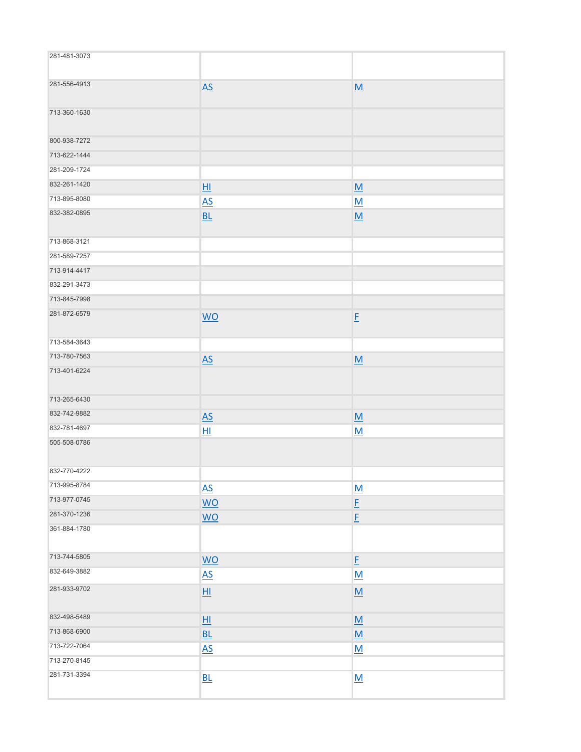| 281-481-3073 |                           |                          |
|--------------|---------------------------|--------------------------|
| 281-556-4913 | $\underline{AS}$          | M                        |
| 713-360-1630 |                           |                          |
| 800-938-7272 |                           |                          |
| 713-622-1444 |                           |                          |
| 281-209-1724 |                           |                          |
| 832-261-1420 | H1                        | M                        |
| 713-895-8080 | $\overline{AS}$           | M                        |
| 832-382-0895 | <b>BL</b>                 | M                        |
| 713-868-3121 |                           |                          |
| 281-589-7257 |                           |                          |
| 713-914-4417 |                           |                          |
| 832-291-3473 |                           |                          |
| 713-845-7998 |                           |                          |
| 281-872-6579 | <b>WO</b>                 | E                        |
| 713-584-3643 |                           |                          |
| 713-780-7563 | $\underline{AS}$          | $\underline{\mathsf{M}}$ |
| 713-401-6224 |                           |                          |
| 713-265-6430 |                           |                          |
| 832-742-9882 | $\underline{AS}$          | $\underline{\mathsf{M}}$ |
| 832-781-4697 | H1                        | $\underline{\mathsf{M}}$ |
| 505-508-0786 |                           |                          |
| 832-770-4222 |                           |                          |
| 713-995-8784 | $\underline{AS}$          | $\underline{\mathsf{M}}$ |
| 713-977-0745 | $\underline{\mathsf{WO}}$ | $E_{\parallel}$          |
| 281-370-1236 | <b>WO</b>                 | $E_{\parallel}$          |
| 361-884-1780 |                           |                          |
| 713-744-5805 | <b>WO</b>                 | $E_{\parallel}$          |
| 832-649-3882 | $\underline{AS}$          | M                        |
| 281-933-9702 | H1                        | M                        |
| 832-498-5489 | H1                        | M                        |
| 713-868-6900 | BL                        | $\underline{\mathsf{M}}$ |
| 713-722-7064 | $\underline{AS}$          | M                        |
| 713-270-8145 |                           |                          |
| 281-731-3394 | BL                        | $\underline{\mathsf{M}}$ |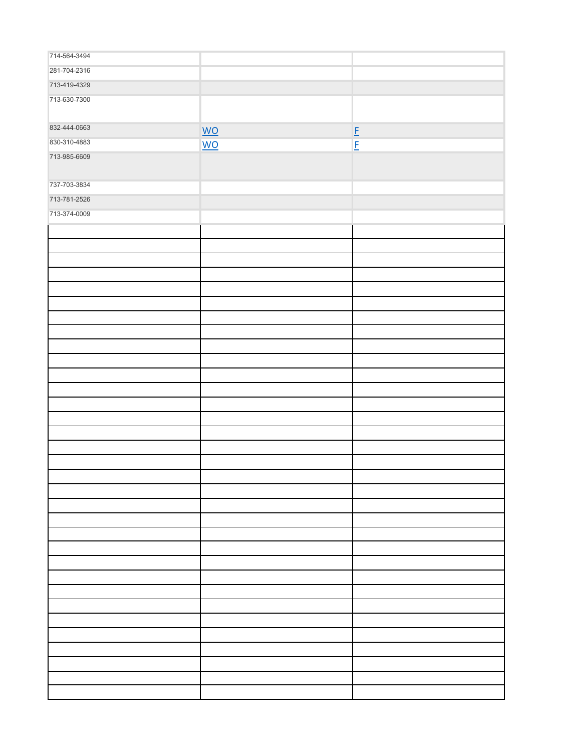| 714-564-3494 |                           |                 |
|--------------|---------------------------|-----------------|
| 281-704-2316 |                           |                 |
| 713-419-4329 |                           |                 |
| 713-630-7300 |                           |                 |
|              |                           |                 |
| 832-444-0663 | $\underline{\mathsf{WO}}$ |                 |
| 830-310-4883 |                           | $E_{\parallel}$ |
| 713-985-6609 | $\underline{\mathsf{WO}}$ | $E_{\parallel}$ |
|              |                           |                 |
| 737-703-3834 |                           |                 |
| 713-781-2526 |                           |                 |
| 713-374-0009 |                           |                 |
|              |                           |                 |
|              |                           |                 |
|              |                           |                 |
|              |                           |                 |
|              |                           |                 |
|              |                           |                 |
|              |                           |                 |
|              |                           |                 |
|              |                           |                 |
|              |                           |                 |
|              |                           |                 |
|              |                           |                 |
|              |                           |                 |
|              |                           |                 |
|              |                           |                 |
|              |                           |                 |
|              |                           |                 |
|              |                           |                 |
|              |                           |                 |
|              |                           |                 |
|              |                           |                 |
|              |                           |                 |
|              |                           |                 |
|              |                           |                 |
|              |                           |                 |
|              |                           |                 |
|              |                           |                 |
|              |                           |                 |
|              |                           |                 |
|              |                           |                 |
|              |                           |                 |
|              |                           |                 |
|              |                           |                 |
|              |                           |                 |
|              |                           |                 |
|              |                           |                 |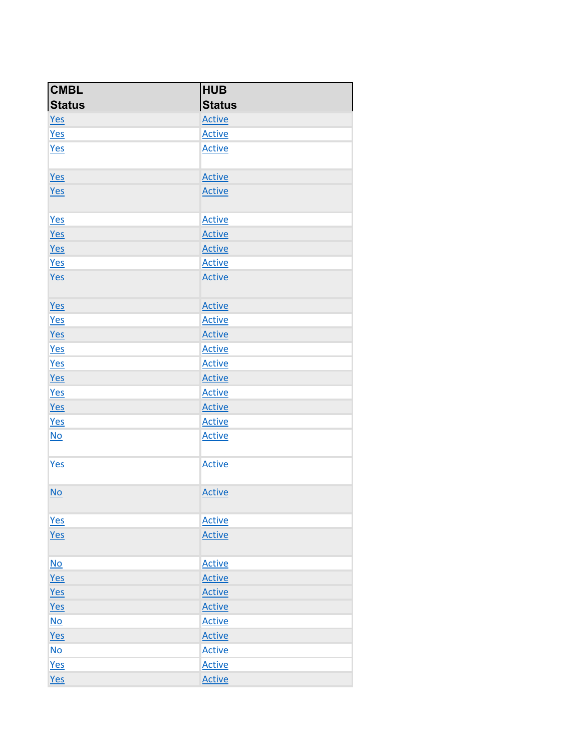| <b>CMBL</b>               | <b>HUB</b>    |
|---------------------------|---------------|
| <b>Status</b>             | <b>Status</b> |
| <b>Yes</b>                | <b>Active</b> |
| Yes                       | <b>Active</b> |
| <b>Yes</b>                | <b>Active</b> |
| Yes                       | <b>Active</b> |
| Yes                       | <b>Active</b> |
| <b>Yes</b>                | <b>Active</b> |
| <b>Yes</b>                | <b>Active</b> |
| Yes                       | <b>Active</b> |
| Yes                       | <b>Active</b> |
| Yes                       | <b>Active</b> |
| Yes                       | <b>Active</b> |
| <b>Yes</b>                | <b>Active</b> |
| Yes                       | <b>Active</b> |
| <b>Yes</b>                | <b>Active</b> |
| <b>Yes</b>                | <b>Active</b> |
| Yes                       | <b>Active</b> |
| <b>Yes</b>                | <b>Active</b> |
| Yes                       | <b>Active</b> |
| <b>Yes</b>                | <b>Active</b> |
| $\underline{\mathsf{No}}$ | <b>Active</b> |
| Yes                       | <b>Active</b> |
| No                        | <b>Active</b> |
| <b>Yes</b>                | <b>Active</b> |
| Yes                       | <b>Active</b> |
| $No$                      | <b>Active</b> |
| Yes                       | <b>Active</b> |
| Yes                       | <b>Active</b> |
| Yes                       | <b>Active</b> |
| N <sub>O</sub>            | <b>Active</b> |
| Yes                       | <b>Active</b> |
| N <sub>O</sub>            | <b>Active</b> |
| Yes                       | <b>Active</b> |
| Yes                       | <b>Active</b> |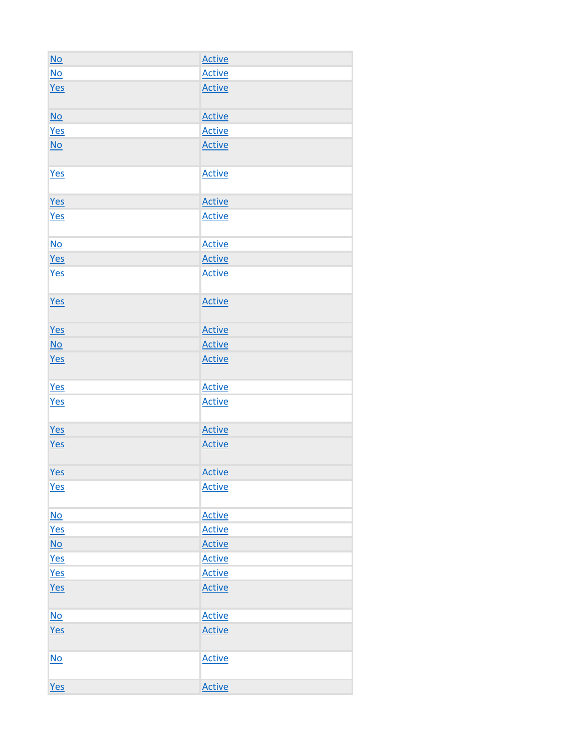| N <sub>O</sub>            | <b>Active</b> |
|---------------------------|---------------|
| $\underline{\mathsf{No}}$ | <b>Active</b> |
| Yes                       | <b>Active</b> |
| N <sub>O</sub>            | <b>Active</b> |
| <b>Yes</b>                | <b>Active</b> |
| $\underline{\mathsf{No}}$ | <b>Active</b> |
| Yes                       | <b>Active</b> |
| Yes                       | <b>Active</b> |
| <b>Yes</b>                | <b>Active</b> |
| $\underline{\mathsf{No}}$ | <b>Active</b> |
| Yes                       | <b>Active</b> |
| <b>Yes</b>                | <b>Active</b> |
| <b>Yes</b>                | <b>Active</b> |
| Yes                       | <b>Active</b> |
| $\underline{\mathsf{No}}$ | <b>Active</b> |
| <b>Yes</b>                | <b>Active</b> |
| <b>Yes</b>                | <b>Active</b> |
| <b>Yes</b>                | <b>Active</b> |
| Yes                       | <b>Active</b> |
| Yes                       | <b>Active</b> |
| Yes                       | <b>Active</b> |
| <b>Yes</b>                | <b>Active</b> |
| N <sub>O</sub>            | <b>Active</b> |
| <b>Yes</b>                | <b>Active</b> |
| $\underline{\mathsf{No}}$ | <b>Active</b> |
| Yes                       | <b>Active</b> |
| Yes                       | <b>Active</b> |
| Yes                       | <b>Active</b> |
| N <sub>O</sub>            | <b>Active</b> |
| Yes                       | <b>Active</b> |
| No                        | <b>Active</b> |
| Yes                       | <b>Active</b> |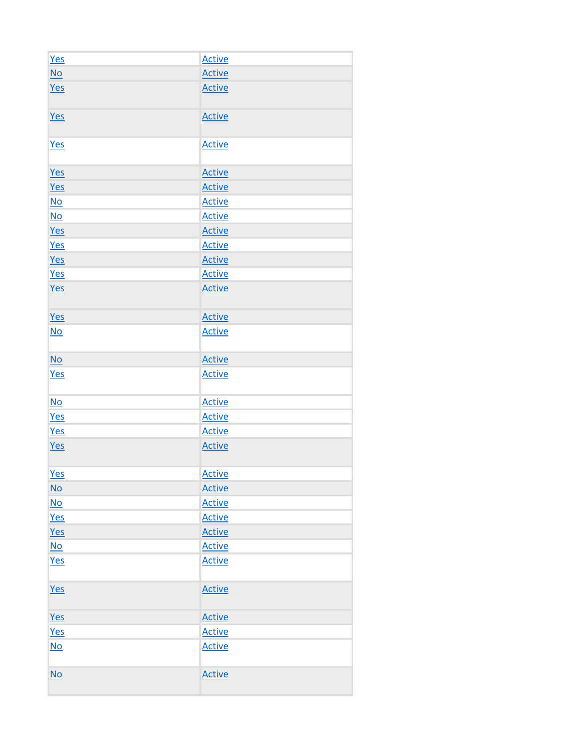| Yes                       | <b>Active</b> |
|---------------------------|---------------|
| $\underline{\mathsf{No}}$ | <b>Active</b> |
| Yes                       | <b>Active</b> |
| <b>Yes</b>                | <b>Active</b> |
| <b>Yes</b>                | <b>Active</b> |
| Yes                       | <b>Active</b> |
| <b>Yes</b>                | <b>Active</b> |
| N <sub>O</sub>            | <b>Active</b> |
| $\underline{\mathsf{No}}$ | <b>Active</b> |
| Yes                       | <b>Active</b> |
| Yes                       | <b>Active</b> |
| Yes                       | <b>Active</b> |
| <b>Yes</b>                | <b>Active</b> |
| <b>Yes</b>                | <b>Active</b> |
| <b>Yes</b>                | <b>Active</b> |
| N <sub>O</sub>            | <b>Active</b> |
| N <sub>O</sub>            | <b>Active</b> |
| Yes                       | <b>Active</b> |
| N <sub>O</sub>            | <b>Active</b> |
| Yes                       | <b>Active</b> |
| Yes                       | <b>Active</b> |
| Yes                       | <b>Active</b> |
| <b>Yes</b>                | <b>Active</b> |
| $\underline{\mathsf{No}}$ | <b>Active</b> |
| <u>No</u>                 | <b>Active</b> |
| <u>Yes</u>                | <b>Active</b> |
| Yes                       | <b>Active</b> |
| $\underline{\mathsf{No}}$ | <b>Active</b> |
| <b>Yes</b>                | <b>Active</b> |
| <b>Yes</b>                | <b>Active</b> |
| <b>Yes</b>                | <b>Active</b> |
| <b>Yes</b>                | <b>Active</b> |
| N <sub>O</sub>            | <b>Active</b> |
| N <sub>O</sub>            | <b>Active</b> |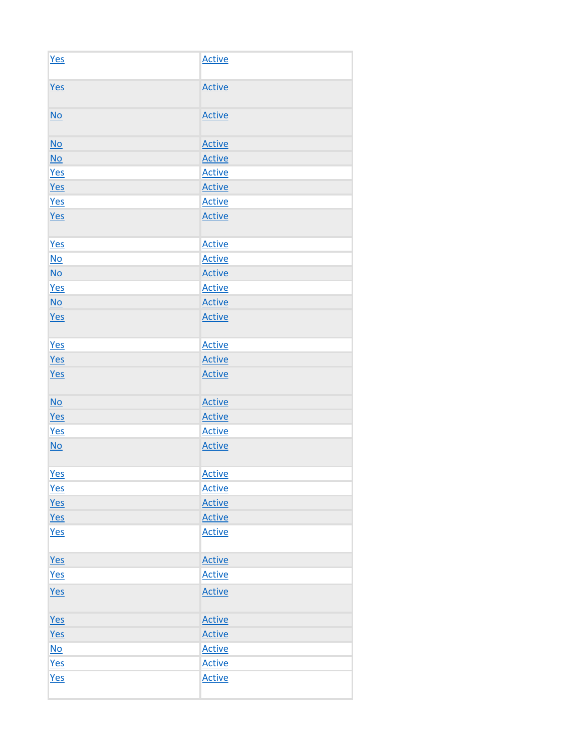| Yes                       | <b>Active</b> |
|---------------------------|---------------|
| <b>Yes</b>                | <b>Active</b> |
| N <sub>O</sub>            | <b>Active</b> |
| N <sub>O</sub>            | <b>Active</b> |
| $\underline{\mathsf{No}}$ | <b>Active</b> |
| <b>Yes</b>                | <b>Active</b> |
| Yes                       | <b>Active</b> |
| Yes                       | <b>Active</b> |
| <b>Yes</b>                | <b>Active</b> |
| <b>Yes</b>                | <b>Active</b> |
| $\underline{\mathsf{No}}$ | <b>Active</b> |
| $\underline{\mathsf{No}}$ | <b>Active</b> |
| Yes                       | <b>Active</b> |
| $\underline{\mathsf{No}}$ | <b>Active</b> |
| Yes                       | <b>Active</b> |
| <b>Yes</b>                | <b>Active</b> |
| Yes                       | <b>Active</b> |
| Yes                       | <b>Active</b> |
| N <sub>O</sub>            | <b>Active</b> |
| Yes                       | <b>Active</b> |
| <b>Yes</b>                | <b>Active</b> |
| N <sub>O</sub>            | <b>Active</b> |
| Yes                       | <b>Active</b> |
| <b>Yes</b>                | <b>Active</b> |
| Yes                       | <b>Active</b> |
| Yes                       | <b>Active</b> |
| Yes                       | <b>Active</b> |
| Yes                       | <b>Active</b> |
| <b>Yes</b>                | <b>Active</b> |
| Yes                       | <b>Active</b> |
| Yes                       | <b>Active</b> |
| Yes                       | <b>Active</b> |
| $\underline{\mathsf{No}}$ | <b>Active</b> |
| Yes                       | <b>Active</b> |
| <b>Yes</b>                | <b>Active</b> |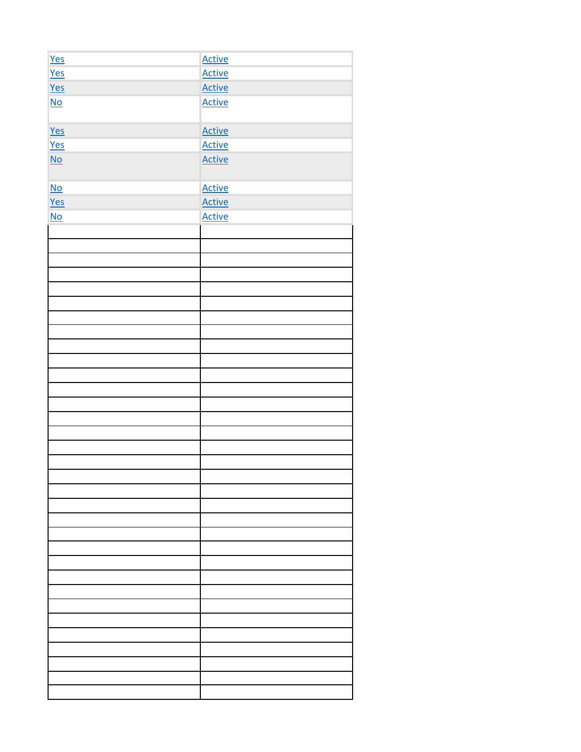| Yes                       | Active        |
|---------------------------|---------------|
| Yes                       | <b>Active</b> |
| Yes                       | <b>Active</b> |
| $\underline{\mathsf{No}}$ | <b>Active</b> |
| Yes                       | <b>Active</b> |
| Yes                       | <b>Active</b> |
| $\underline{\mathsf{No}}$ | <b>Active</b> |
| $\underline{\mathsf{No}}$ | <b>Active</b> |
| Yes                       | <b>Active</b> |
| $No$                      | <b>Active</b> |
|                           |               |
|                           |               |
|                           |               |
|                           |               |
|                           |               |
|                           |               |
|                           |               |
|                           |               |
|                           |               |
|                           |               |
|                           |               |
|                           |               |
|                           |               |
|                           |               |
|                           |               |
|                           |               |
|                           |               |
|                           |               |
|                           |               |
|                           |               |
|                           |               |
|                           |               |
|                           |               |
|                           |               |
|                           |               |
|                           |               |
|                           |               |
|                           |               |
|                           |               |
|                           |               |
|                           |               |
|                           |               |
|                           |               |
|                           |               |